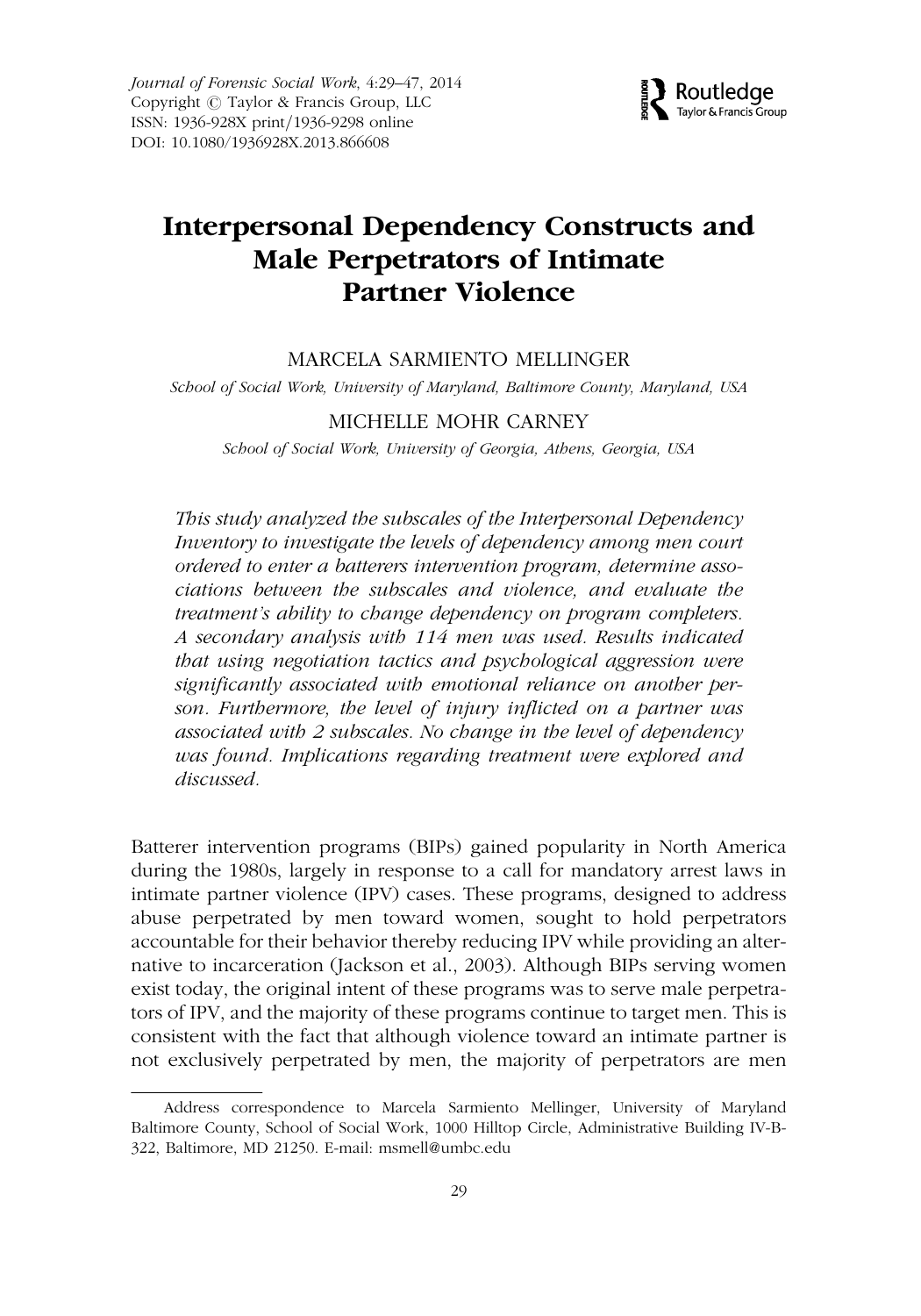

# Interpersonal Dependency Constructs and Male Perpetrators of Intimate Partner Violence

#### MARCELA SARMIENTO MELLINGER

School of Social Work, University of Maryland, Baltimore County, Maryland, USA

## MICHELLE MOHR CARNEY

School of Social Work, University of Georgia, Athens, Georgia, USA

This study analyzed the subscales of the Interpersonal Dependency Inventory to investigate the levels of dependency among men court ordered to enter a batterers intervention program, determine associations between the subscales and violence, and evaluate the treatment's ability to change dependency on program completers. A secondary analysis with 114 men was used. Results indicated that using negotiation tactics and psychological aggression were significantly associated with emotional reliance on another person. Furthermore, the level of injury inflicted on a partner was associated with 2 subscales. No change in the level of dependency was found. Implications regarding treatment were explored and discussed.

Batterer intervention programs (BIPs) gained popularity in North America during the 1980s, largely in response to a call for mandatory arrest laws in intimate partner violence (IPV) cases. These programs, designed to address abuse perpetrated by men toward women, sought to hold perpetrators accountable for their behavior thereby reducing IPV while providing an alternative to incarceration (Jackson et al., 2003). Although BIPs serving women exist today, the original intent of these programs was to serve male perpetrators of IPV, and the majority of these programs continue to target men. This is consistent with the fact that although violence toward an intimate partner is not exclusively perpetrated by men, the majority of perpetrators are men

Address correspondence to Marcela Sarmiento Mellinger, University of Maryland Baltimore County, School of Social Work, 1000 Hilltop Circle, Administrative Building IV-B-322, Baltimore, MD 21250. E-mail: msmell@umbc.edu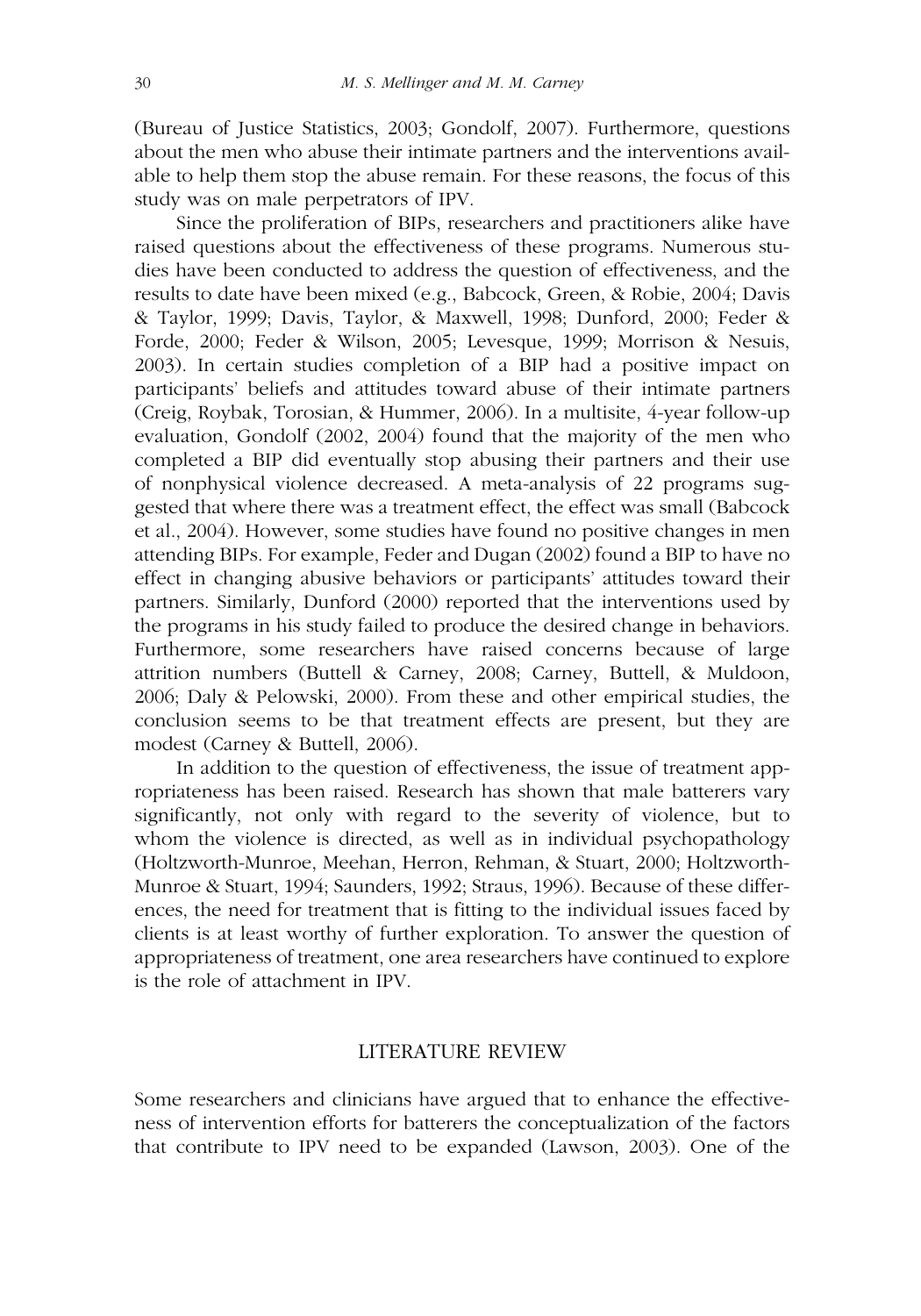(Bureau of Justice Statistics, 2003; Gondolf, 2007). Furthermore, questions about the men who abuse their intimate partners and the interventions available to help them stop the abuse remain. For these reasons, the focus of this study was on male perpetrators of IPV.

Since the proliferation of BIPs, researchers and practitioners alike have raised questions about the effectiveness of these programs. Numerous studies have been conducted to address the question of effectiveness, and the results to date have been mixed (e.g., Babcock, Green, & Robie, 2004; Davis & Taylor, 1999; Davis, Taylor, & Maxwell, 1998; Dunford, 2000; Feder & Forde, 2000; Feder & Wilson, 2005; Levesque, 1999; Morrison & Nesuis, 2003). In certain studies completion of a BIP had a positive impact on participants' beliefs and attitudes toward abuse of their intimate partners (Creig, Roybak, Torosian, & Hummer, 2006). In a multisite, 4-year follow-up evaluation, Gondolf (2002, 2004) found that the majority of the men who completed a BIP did eventually stop abusing their partners and their use of nonphysical violence decreased. A meta-analysis of 22 programs suggested that where there was a treatment effect, the effect was small (Babcock et al., 2004). However, some studies have found no positive changes in men attending BIPs. For example, Feder and Dugan (2002) found a BIP to have no effect in changing abusive behaviors or participants' attitudes toward their partners. Similarly, Dunford (2000) reported that the interventions used by the programs in his study failed to produce the desired change in behaviors. Furthermore, some researchers have raised concerns because of large attrition numbers (Buttell & Carney, 2008; Carney, Buttell, & Muldoon, 2006; Daly & Pelowski, 2000). From these and other empirical studies, the conclusion seems to be that treatment effects are present, but they are modest (Carney & Buttell, 2006).

In addition to the question of effectiveness, the issue of treatment appropriateness has been raised. Research has shown that male batterers vary significantly, not only with regard to the severity of violence, but to whom the violence is directed, as well as in individual psychopathology (Holtzworth-Munroe, Meehan, Herron, Rehman, & Stuart, 2000; Holtzworth-Munroe & Stuart, 1994; Saunders, 1992; Straus, 1996). Because of these differences, the need for treatment that is fitting to the individual issues faced by clients is at least worthy of further exploration. To answer the question of appropriateness of treatment, one area researchers have continued to explore is the role of attachment in IPV.

# LITERATURE REVIEW

Some researchers and clinicians have argued that to enhance the effectiveness of intervention efforts for batterers the conceptualization of the factors that contribute to IPV need to be expanded (Lawson, 2003). One of the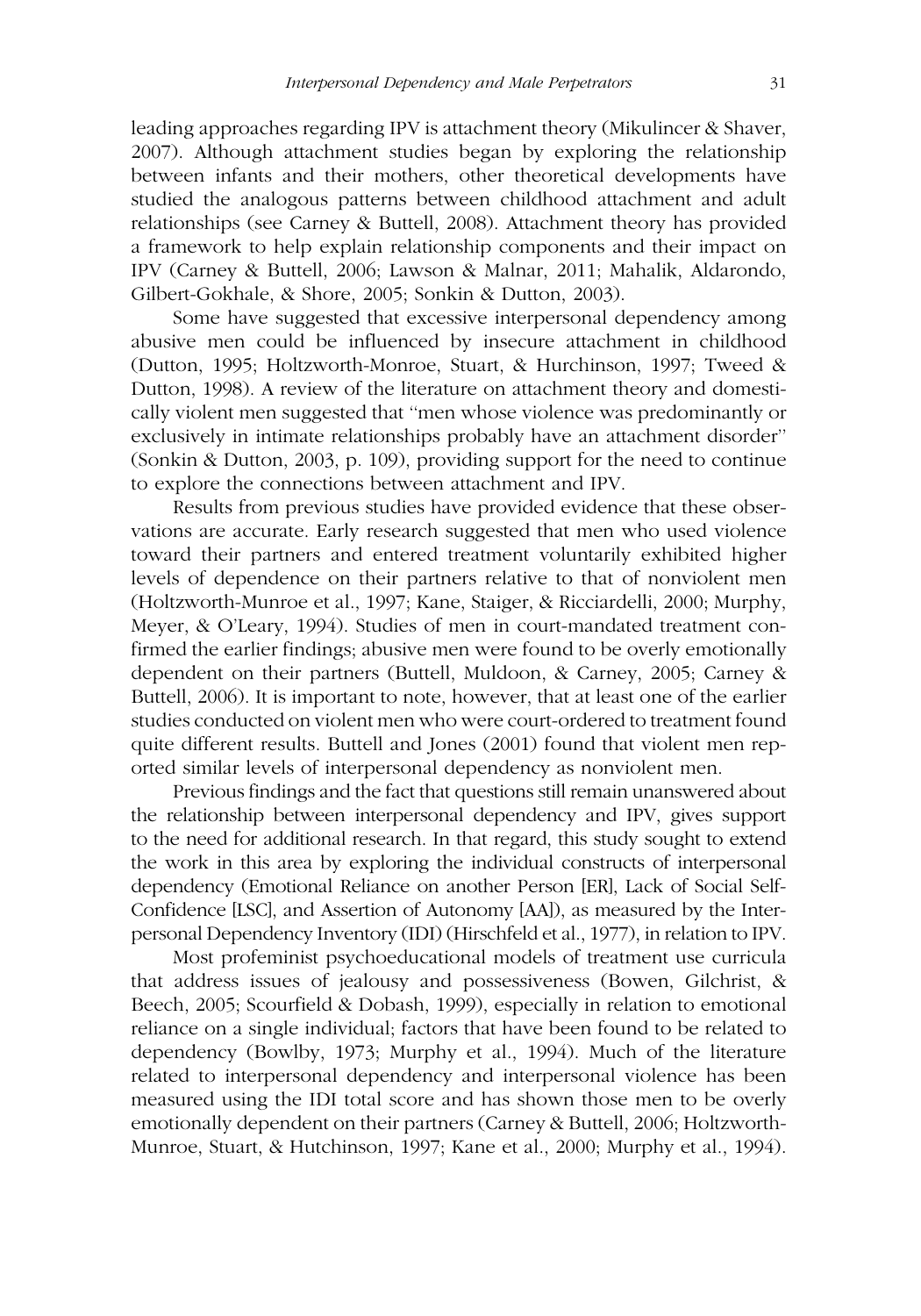leading approaches regarding IPV is attachment theory (Mikulincer & Shaver, 2007). Although attachment studies began by exploring the relationship between infants and their mothers, other theoretical developments have studied the analogous patterns between childhood attachment and adult relationships (see Carney & Buttell, 2008). Attachment theory has provided a framework to help explain relationship components and their impact on IPV (Carney & Buttell, 2006; Lawson & Malnar, 2011; Mahalik, Aldarondo, Gilbert-Gokhale, & Shore, 2005; Sonkin & Dutton, 2003).

Some have suggested that excessive interpersonal dependency among abusive men could be influenced by insecure attachment in childhood (Dutton, 1995; Holtzworth-Monroe, Stuart, & Hurchinson, 1997; Tweed & Dutton, 1998). A review of the literature on attachment theory and domestically violent men suggested that ''men whose violence was predominantly or exclusively in intimate relationships probably have an attachment disorder'' (Sonkin & Dutton, 2003, p. 109), providing support for the need to continue to explore the connections between attachment and IPV.

Results from previous studies have provided evidence that these observations are accurate. Early research suggested that men who used violence toward their partners and entered treatment voluntarily exhibited higher levels of dependence on their partners relative to that of nonviolent men (Holtzworth-Munroe et al., 1997; Kane, Staiger, & Ricciardelli, 2000; Murphy, Meyer, & O'Leary, 1994). Studies of men in court-mandated treatment confirmed the earlier findings; abusive men were found to be overly emotionally dependent on their partners (Buttell, Muldoon, & Carney, 2005; Carney & Buttell, 2006). It is important to note, however, that at least one of the earlier studies conducted on violent men who were court-ordered to treatment found quite different results. Buttell and Jones (2001) found that violent men reported similar levels of interpersonal dependency as nonviolent men.

Previous findings and the fact that questions still remain unanswered about the relationship between interpersonal dependency and IPV, gives support to the need for additional research. In that regard, this study sought to extend the work in this area by exploring the individual constructs of interpersonal dependency (Emotional Reliance on another Person [ER], Lack of Social Self-Confidence [LSC], and Assertion of Autonomy [AA]), as measured by the Interpersonal Dependency Inventory (IDI) (Hirschfeld et al., 1977), in relation to IPV.

Most profeminist psychoeducational models of treatment use curricula that address issues of jealousy and possessiveness (Bowen, Gilchrist, & Beech, 2005; Scourfield & Dobash, 1999), especially in relation to emotional reliance on a single individual; factors that have been found to be related to dependency (Bowlby, 1973; Murphy et al., 1994). Much of the literature related to interpersonal dependency and interpersonal violence has been measured using the IDI total score and has shown those men to be overly emotionally dependent on their partners (Carney & Buttell, 2006; Holtzworth-Munroe, Stuart, & Hutchinson, 1997; Kane et al., 2000; Murphy et al., 1994).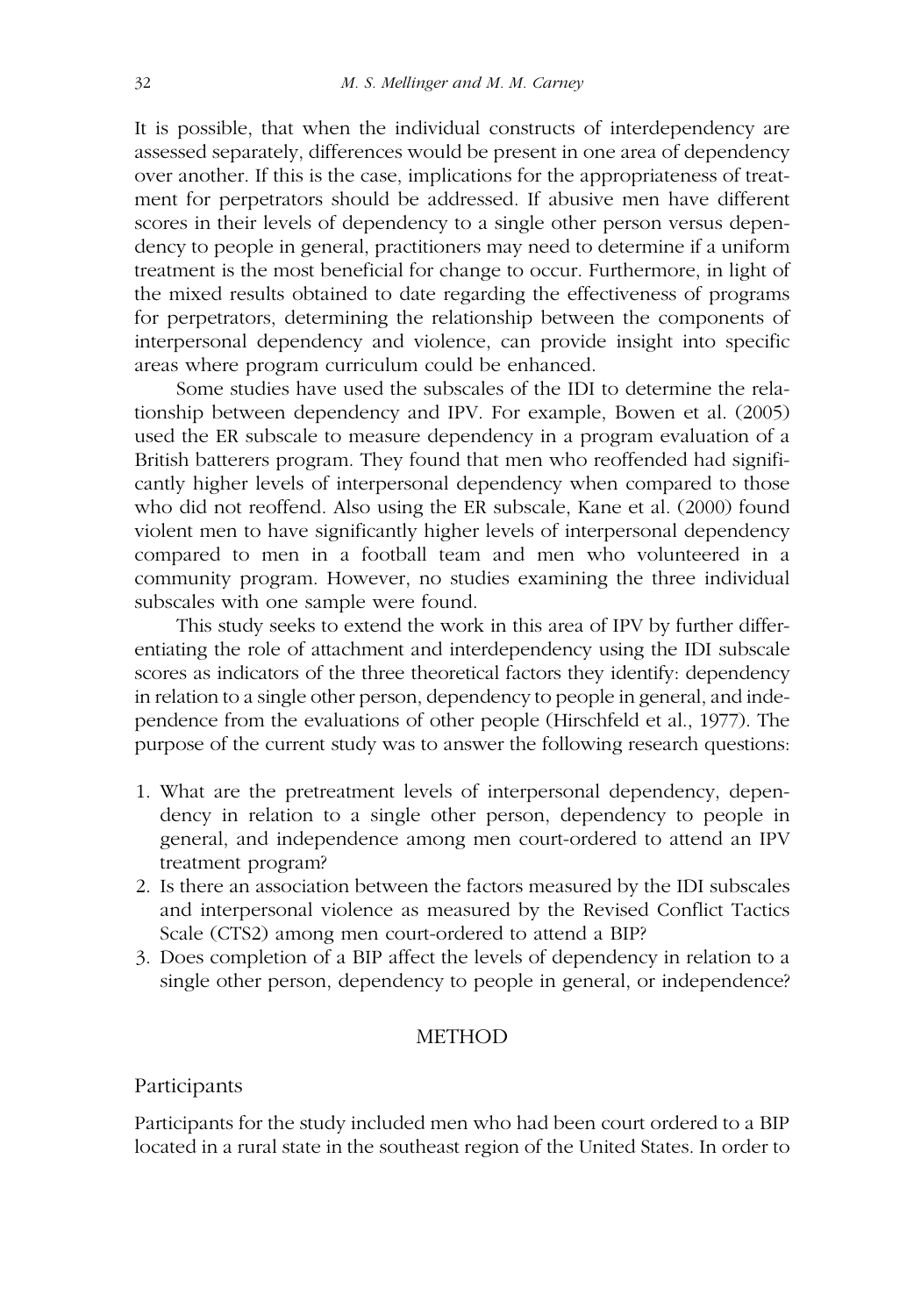It is possible, that when the individual constructs of interdependency are assessed separately, differences would be present in one area of dependency over another. If this is the case, implications for the appropriateness of treatment for perpetrators should be addressed. If abusive men have different scores in their levels of dependency to a single other person versus dependency to people in general, practitioners may need to determine if a uniform treatment is the most beneficial for change to occur. Furthermore, in light of the mixed results obtained to date regarding the effectiveness of programs for perpetrators, determining the relationship between the components of interpersonal dependency and violence, can provide insight into specific areas where program curriculum could be enhanced.

Some studies have used the subscales of the IDI to determine the relationship between dependency and IPV. For example, Bowen et al. (2005) used the ER subscale to measure dependency in a program evaluation of a British batterers program. They found that men who reoffended had significantly higher levels of interpersonal dependency when compared to those who did not reoffend. Also using the ER subscale, Kane et al. (2000) found violent men to have significantly higher levels of interpersonal dependency compared to men in a football team and men who volunteered in a community program. However, no studies examining the three individual subscales with one sample were found.

This study seeks to extend the work in this area of IPV by further differentiating the role of attachment and interdependency using the IDI subscale scores as indicators of the three theoretical factors they identify: dependency in relation to a single other person, dependency to people in general, and independence from the evaluations of other people (Hirschfeld et al., 1977). The purpose of the current study was to answer the following research questions:

- 1. What are the pretreatment levels of interpersonal dependency, dependency in relation to a single other person, dependency to people in general, and independence among men court-ordered to attend an IPV treatment program?
- 2. Is there an association between the factors measured by the IDI subscales and interpersonal violence as measured by the Revised Conflict Tactics Scale (CTS2) among men court-ordered to attend a BIP?
- 3. Does completion of a BIP affect the levels of dependency in relation to a single other person, dependency to people in general, or independence?

## **METHOD**

### Participants

Participants for the study included men who had been court ordered to a BIP located in a rural state in the southeast region of the United States. In order to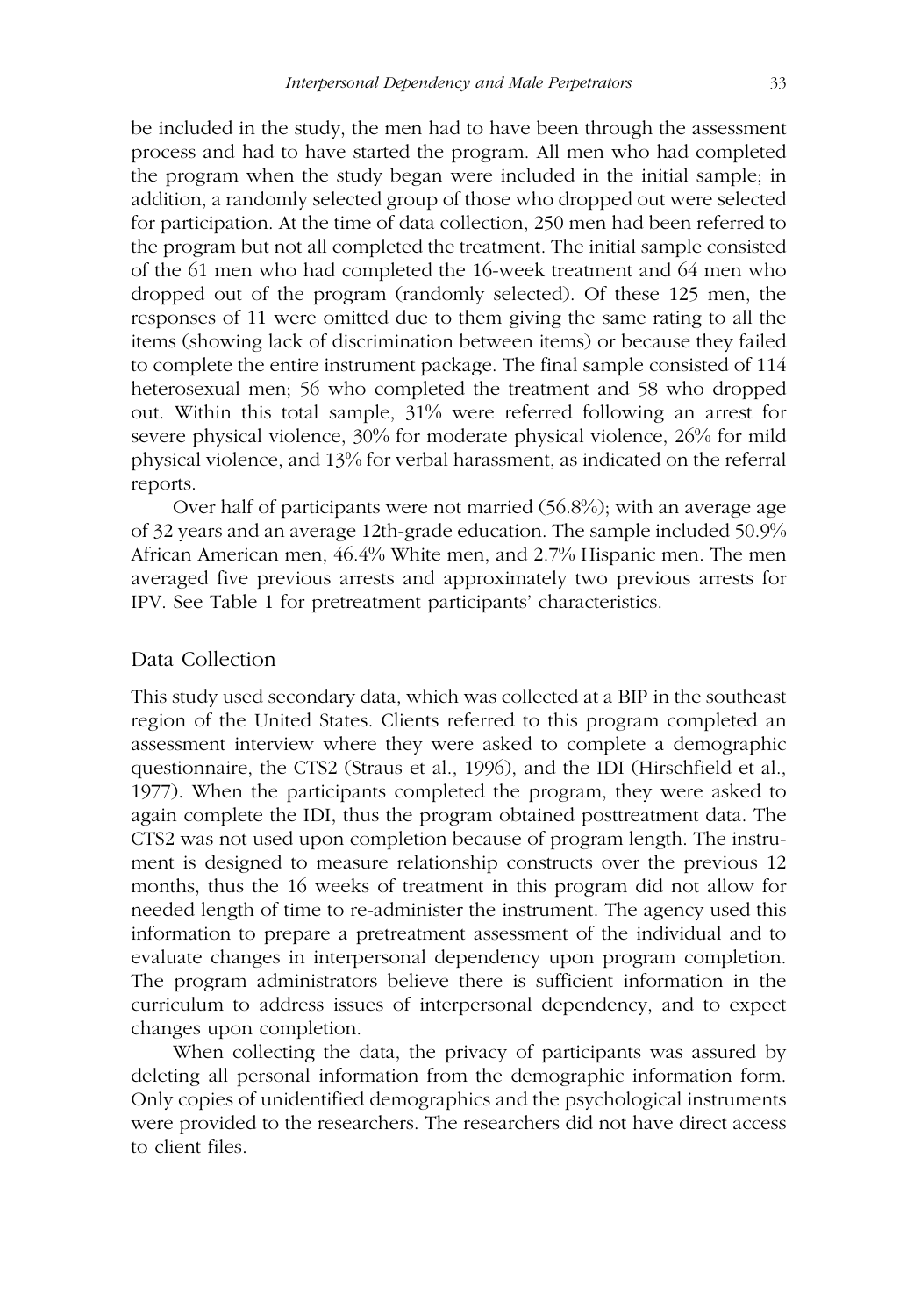be included in the study, the men had to have been through the assessment process and had to have started the program. All men who had completed the program when the study began were included in the initial sample; in addition, a randomly selected group of those who dropped out were selected for participation. At the time of data collection, 250 men had been referred to the program but not all completed the treatment. The initial sample consisted of the 61 men who had completed the 16-week treatment and 64 men who dropped out of the program (randomly selected). Of these 125 men, the responses of 11 were omitted due to them giving the same rating to all the items (showing lack of discrimination between items) or because they failed to complete the entire instrument package. The final sample consisted of 114 heterosexual men; 56 who completed the treatment and 58 who dropped out. Within this total sample, 31% were referred following an arrest for severe physical violence, 30% for moderate physical violence, 26% for mild physical violence, and 13% for verbal harassment, as indicated on the referral reports.

Over half of participants were not married (56.8%); with an average age of 32 years and an average 12th-grade education. The sample included 50.9% African American men, 46.4% White men, and 2.7% Hispanic men. The men averaged five previous arrests and approximately two previous arrests for IPV. See Table 1 for pretreatment participants' characteristics.

### Data Collection

This study used secondary data, which was collected at a BIP in the southeast region of the United States. Clients referred to this program completed an assessment interview where they were asked to complete a demographic questionnaire, the CTS2 (Straus et al., 1996), and the IDI (Hirschfield et al., 1977). When the participants completed the program, they were asked to again complete the IDI, thus the program obtained posttreatment data. The CTS2 was not used upon completion because of program length. The instrument is designed to measure relationship constructs over the previous 12 months, thus the 16 weeks of treatment in this program did not allow for needed length of time to re-administer the instrument. The agency used this information to prepare a pretreatment assessment of the individual and to evaluate changes in interpersonal dependency upon program completion. The program administrators believe there is sufficient information in the curriculum to address issues of interpersonal dependency, and to expect changes upon completion.

When collecting the data, the privacy of participants was assured by deleting all personal information from the demographic information form. Only copies of unidentified demographics and the psychological instruments were provided to the researchers. The researchers did not have direct access to client files.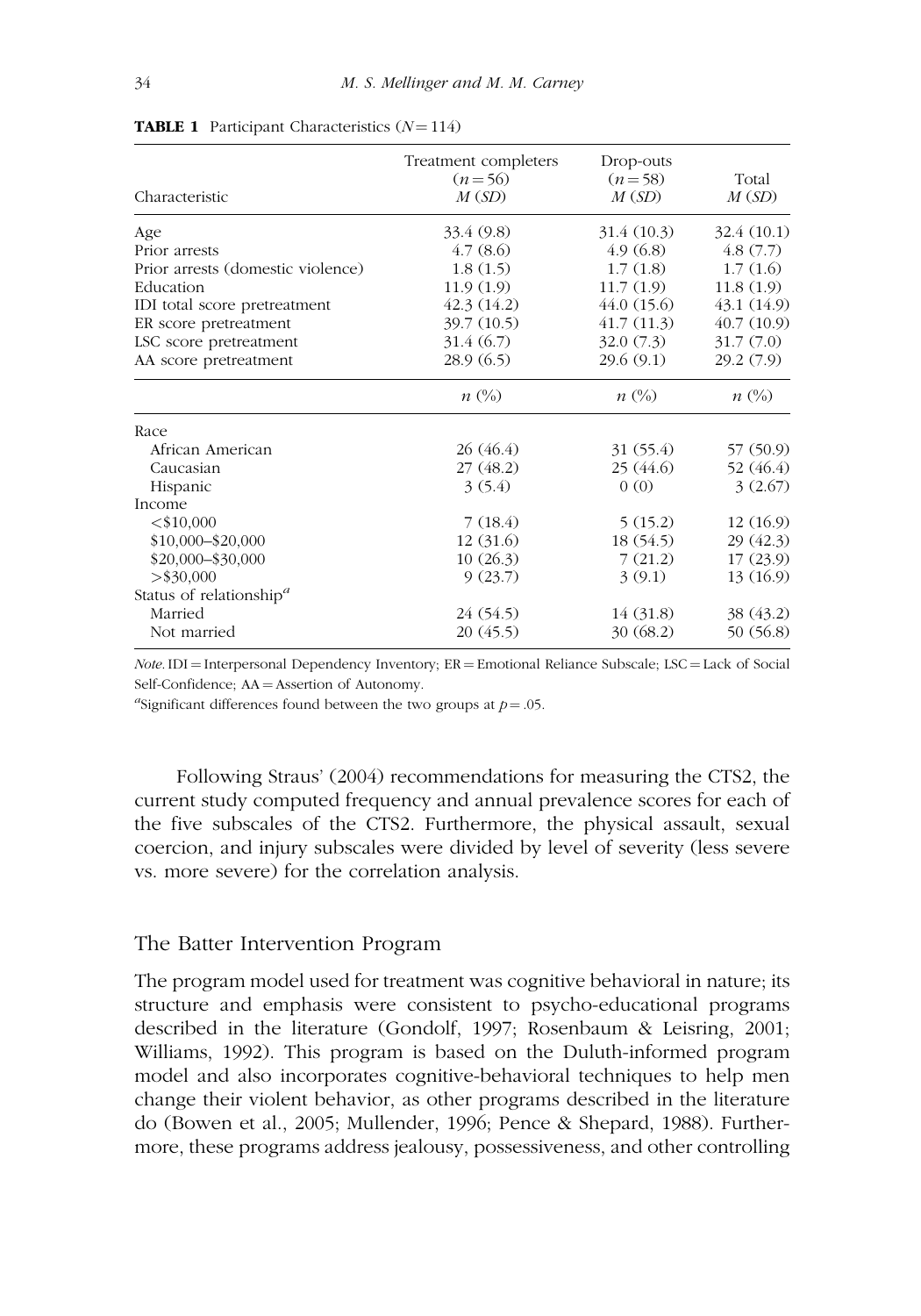| Characteristic                                   | Treatment completers<br>$(n=56)$<br>M(SD) | Drop-outs<br>$(n=58)$<br>M(SD) | Total<br>M(SD) |
|--------------------------------------------------|-------------------------------------------|--------------------------------|----------------|
| Age                                              | 33.4 (9.8)                                | 31.4 (10.3)                    | 32.4 (10.1)    |
| Prior arrests                                    | 4.7(8.6)                                  | 4.9(6.8)                       | 4.8(7.7)       |
| Prior arrests (domestic violence)                | 1.8(1.5)                                  | 1.7(1.8)                       | 1.7(1.6)       |
| Education                                        | 11.9(1.9)                                 | 11.7(1.9)                      | 11.8(1.9)      |
| IDI total score pretreatment                     | 42.3(14.2)                                | 44.0(15.6)                     | 43.1 (14.9)    |
| ER score pretreatment                            | 39.7 (10.5)                               | 41.7(11.3)                     | 40.7(10.9)     |
| LSC score pretreatment                           | 31.4 (6.7)                                | 32.0(7.3)                      | 31.7(7.0)      |
| AA score pretreatment                            | 28.9(6.5)                                 | 29.6(9.1)                      | 29.2(7.9)      |
|                                                  | $n\ (\%)$                                 | $n\ (\%)$                      | $n\ (\%)$      |
| Race                                             |                                           |                                |                |
| African American                                 | 26(46.4)                                  | 31 (55.4)                      | 57 (50.9)      |
| Caucasian                                        | 27(48.2)                                  | 25(44.6)                       | 52 (46.4)      |
| Hispanic                                         | 3(5.4)                                    | 0(0)                           | 3(2.67)        |
| Income                                           |                                           |                                |                |
| $<$ \$10,000                                     | 7(18.4)                                   | 5(15.2)                        | 12(16.9)       |
| \$10,000 - \$20,000                              | 12 (31.6)                                 | 18 (54.5)                      | 29 (42.3)      |
| \$20,000 - \$30,000                              | 10(26.3)                                  | 7(21.2)                        | 17(23.9)       |
| $>$ \$30,000                                     | 9(23.7)                                   | 3(9.1)                         | 13 (16.9)      |
| Status of relationship <sup><math>a</math></sup> |                                           |                                |                |
| Married                                          | 24 (54.5)                                 | 14 (31.8)                      | 38 (43.2)      |
| Not married                                      | 20 (45.5)                                 | 30 (68.2)                      | 50 (56.8)      |

#### **TABLE 1** Participant Characteristics  $(N = 114)$

Note. IDI = Interpersonal Dependency Inventory; ER = Emotional Reliance Subscale; LSC = Lack of Social Self-Confidence;  $AA =$  Assertion of Autonomy.

<sup>a</sup>Significant differences found between the two groups at  $p = .05$ .

Following Straus' (2004) recommendations for measuring the CTS2, the current study computed frequency and annual prevalence scores for each of the five subscales of the CTS2. Furthermore, the physical assault, sexual coercion, and injury subscales were divided by level of severity (less severe vs. more severe) for the correlation analysis.

#### The Batter Intervention Program

The program model used for treatment was cognitive behavioral in nature; its structure and emphasis were consistent to psycho-educational programs described in the literature (Gondolf, 1997; Rosenbaum & Leisring, 2001; Williams, 1992). This program is based on the Duluth-informed program model and also incorporates cognitive-behavioral techniques to help men change their violent behavior, as other programs described in the literature do (Bowen et al., 2005; Mullender, 1996; Pence & Shepard, 1988). Furthermore, these programs address jealousy, possessiveness, and other controlling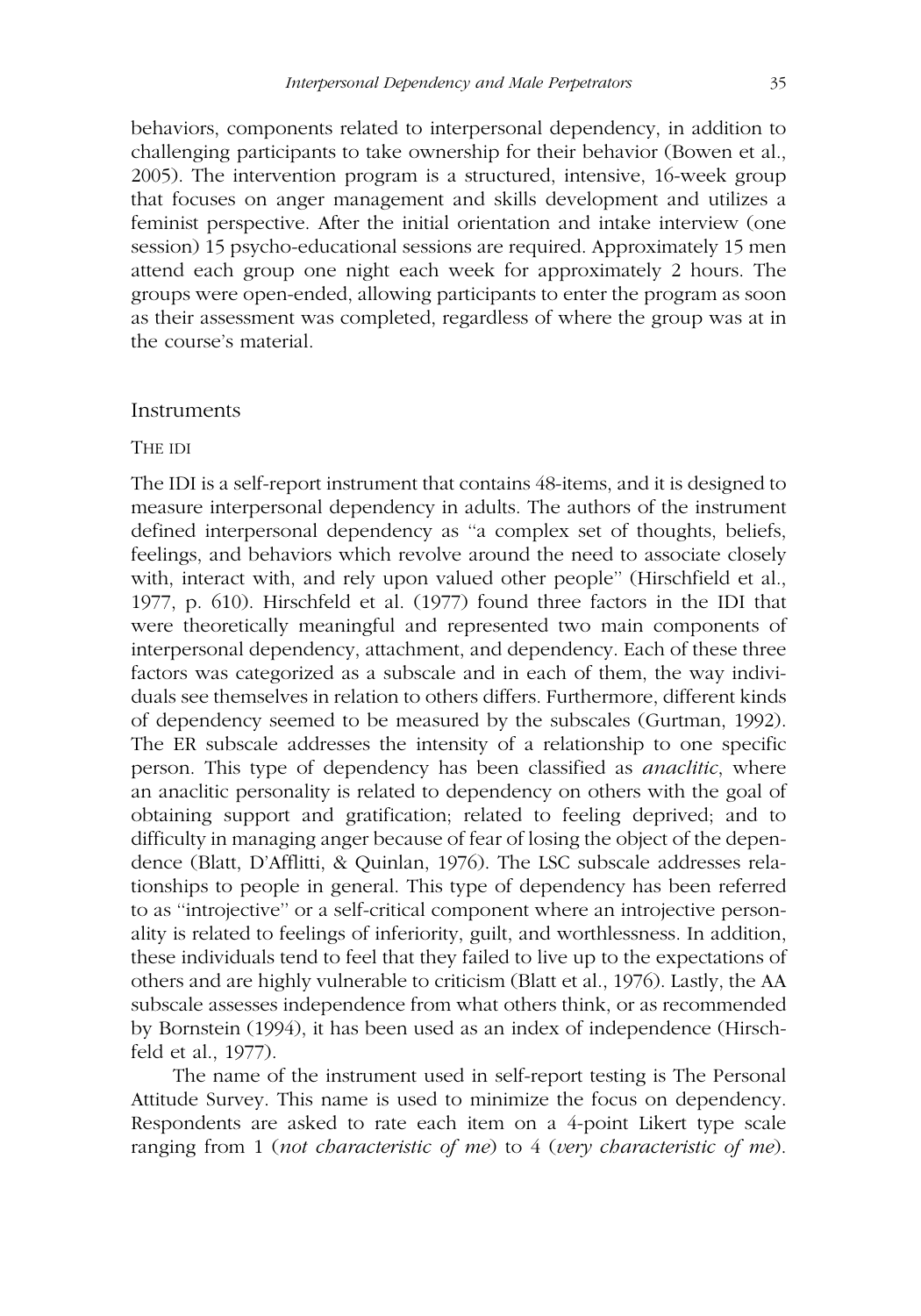behaviors, components related to interpersonal dependency, in addition to challenging participants to take ownership for their behavior (Bowen et al., 2005). The intervention program is a structured, intensive, 16-week group that focuses on anger management and skills development and utilizes a feminist perspective. After the initial orientation and intake interview (one session) 15 psycho-educational sessions are required. Approximately 15 men attend each group one night each week for approximately 2 hours. The groups were open-ended, allowing participants to enter the program as soon as their assessment was completed, regardless of where the group was at in the course's material.

#### Instruments

#### THE IDI

The IDI is a self-report instrument that contains 48-items, and it is designed to measure interpersonal dependency in adults. The authors of the instrument defined interpersonal dependency as ''a complex set of thoughts, beliefs, feelings, and behaviors which revolve around the need to associate closely with, interact with, and rely upon valued other people'' (Hirschfield et al., 1977, p. 610). Hirschfeld et al. (1977) found three factors in the IDI that were theoretically meaningful and represented two main components of interpersonal dependency, attachment, and dependency. Each of these three factors was categorized as a subscale and in each of them, the way individuals see themselves in relation to others differs. Furthermore, different kinds of dependency seemed to be measured by the subscales (Gurtman, 1992). The ER subscale addresses the intensity of a relationship to one specific person. This type of dependency has been classified as *anaclitic*, where an anaclitic personality is related to dependency on others with the goal of obtaining support and gratification; related to feeling deprived; and to difficulty in managing anger because of fear of losing the object of the dependence (Blatt, D'Afflitti, & Quinlan, 1976). The LSC subscale addresses relationships to people in general. This type of dependency has been referred to as ''introjective'' or a self-critical component where an introjective personality is related to feelings of inferiority, guilt, and worthlessness. In addition, these individuals tend to feel that they failed to live up to the expectations of others and are highly vulnerable to criticism (Blatt et al., 1976). Lastly, the AA subscale assesses independence from what others think, or as recommended by Bornstein (1994), it has been used as an index of independence (Hirschfeld et al., 1977).

The name of the instrument used in self-report testing is The Personal Attitude Survey. This name is used to minimize the focus on dependency. Respondents are asked to rate each item on a 4-point Likert type scale ranging from 1 (not characteristic of me) to 4 (very characteristic of me).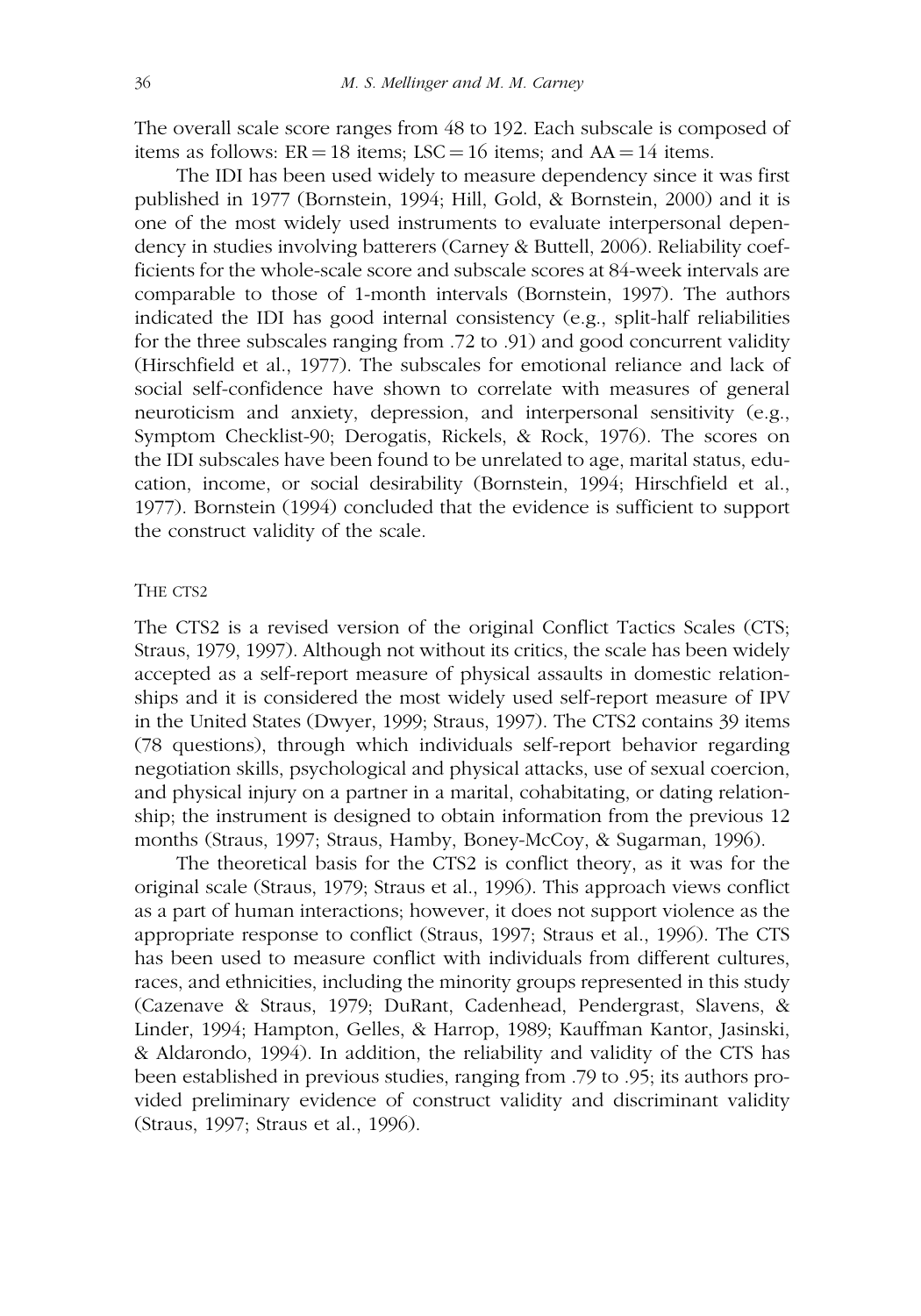The overall scale score ranges from 48 to 192. Each subscale is composed of items as follows:  $ER = 18$  items;  $LSC = 16$  items; and  $AA = 14$  items.

The IDI has been used widely to measure dependency since it was first published in 1977 (Bornstein, 1994; Hill, Gold, & Bornstein, 2000) and it is one of the most widely used instruments to evaluate interpersonal dependency in studies involving batterers (Carney & Buttell, 2006). Reliability coefficients for the whole-scale score and subscale scores at 84-week intervals are comparable to those of 1-month intervals (Bornstein, 1997). The authors indicated the IDI has good internal consistency (e.g., split-half reliabilities for the three subscales ranging from .72 to .91) and good concurrent validity (Hirschfield et al., 1977). The subscales for emotional reliance and lack of social self-confidence have shown to correlate with measures of general neuroticism and anxiety, depression, and interpersonal sensitivity (e.g., Symptom Checklist-90; Derogatis, Rickels, & Rock, 1976). The scores on the IDI subscales have been found to be unrelated to age, marital status, education, income, or social desirability (Bornstein, 1994; Hirschfield et al., 1977). Bornstein (1994) concluded that the evidence is sufficient to support the construct validity of the scale.

#### THE CTS2

The CTS2 is a revised version of the original Conflict Tactics Scales (CTS; Straus, 1979, 1997). Although not without its critics, the scale has been widely accepted as a self-report measure of physical assaults in domestic relationships and it is considered the most widely used self-report measure of IPV in the United States (Dwyer, 1999; Straus, 1997). The CTS2 contains 39 items (78 questions), through which individuals self-report behavior regarding negotiation skills, psychological and physical attacks, use of sexual coercion, and physical injury on a partner in a marital, cohabitating, or dating relationship; the instrument is designed to obtain information from the previous 12 months (Straus, 1997; Straus, Hamby, Boney-McCoy, & Sugarman, 1996).

The theoretical basis for the CTS2 is conflict theory, as it was for the original scale (Straus, 1979; Straus et al., 1996). This approach views conflict as a part of human interactions; however, it does not support violence as the appropriate response to conflict (Straus, 1997; Straus et al., 1996). The CTS has been used to measure conflict with individuals from different cultures, races, and ethnicities, including the minority groups represented in this study (Cazenave & Straus, 1979; DuRant, Cadenhead, Pendergrast, Slavens, & Linder, 1994; Hampton, Gelles, & Harrop, 1989; Kauffman Kantor, Jasinski, & Aldarondo, 1994). In addition, the reliability and validity of the CTS has been established in previous studies, ranging from .79 to .95; its authors provided preliminary evidence of construct validity and discriminant validity (Straus, 1997; Straus et al., 1996).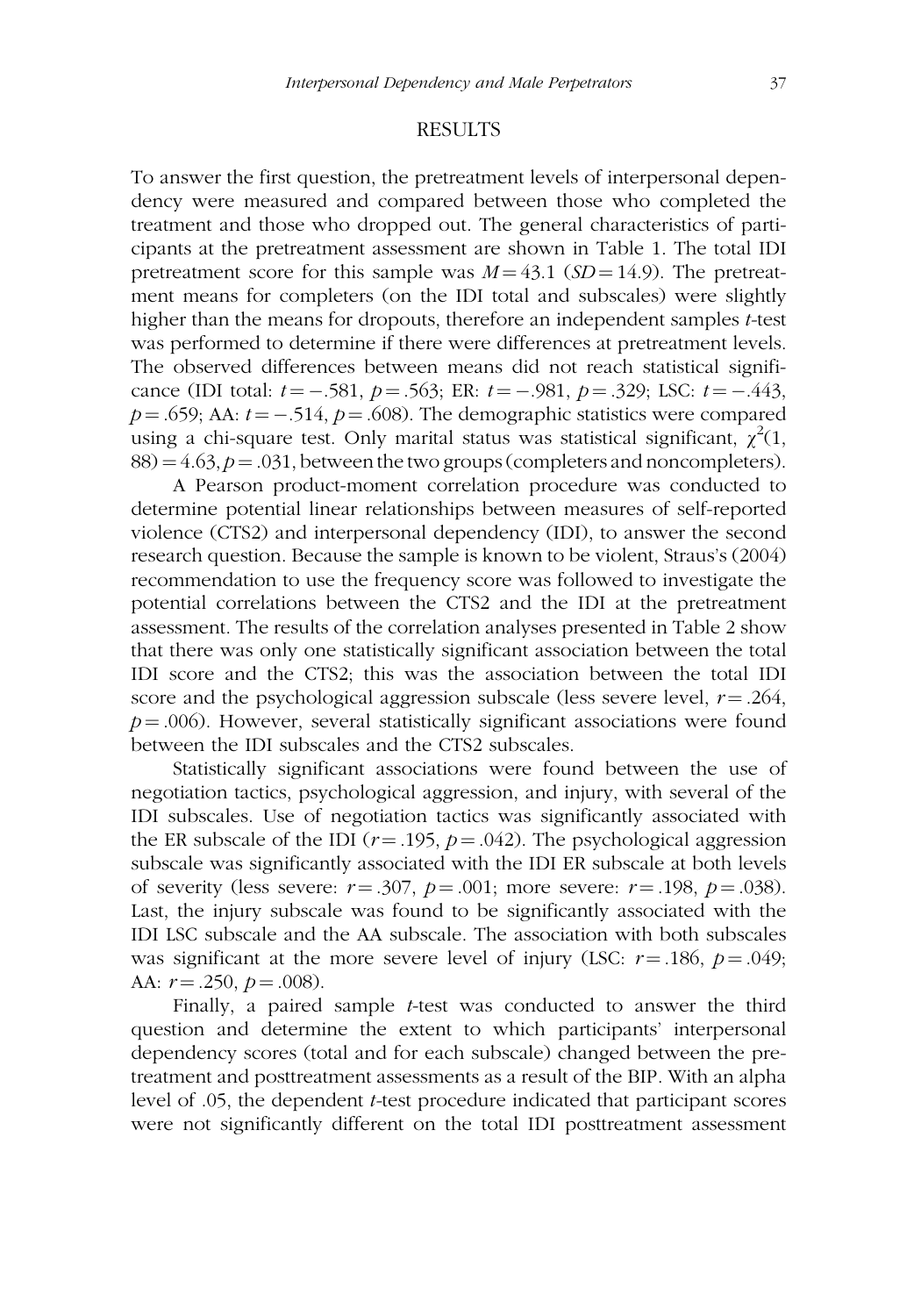#### RESULTS

To answer the first question, the pretreatment levels of interpersonal dependency were measured and compared between those who completed the treatment and those who dropped out. The general characteristics of participants at the pretreatment assessment are shown in Table 1. The total IDI pretreatment score for this sample was  $M = 43.1$  (SD = 14.9). The pretreatment means for completers (on the IDI total and subscales) were slightly higher than the means for dropouts, therefore an independent samples t-test was performed to determine if there were differences at pretreatment levels. The observed differences between means did not reach statistical significance (IDI total:  $t = -.581$ ,  $p = .563$ ; ER:  $t = -.981$ ,  $p = .329$ ; LSC:  $t = -.443$ ,  $p = .659$ ; AA:  $t = -.514$ ,  $p = .608$ ). The demographic statistics were compared using a chi-square test. Only marital status was statistical significant,  $\chi^2(1)$ ,  $88$ ) = 4.63, p = .031, between the two groups (completers and noncompleters).

A Pearson product-moment correlation procedure was conducted to determine potential linear relationships between measures of self-reported violence (CTS2) and interpersonal dependency (IDI), to answer the second research question. Because the sample is known to be violent, Straus's (2004) recommendation to use the frequency score was followed to investigate the potential correlations between the CTS2 and the IDI at the pretreatment assessment. The results of the correlation analyses presented in Table 2 show that there was only one statistically significant association between the total IDI score and the CTS2; this was the association between the total IDI score and the psychological aggression subscale (less severe level,  $r = .264$ ,  $p = .006$ ). However, several statistically significant associations were found between the IDI subscales and the CTS2 subscales.

Statistically significant associations were found between the use of negotiation tactics, psychological aggression, and injury, with several of the IDI subscales. Use of negotiation tactics was significantly associated with the ER subscale of the IDI ( $r = .195$ ,  $p = .042$ ). The psychological aggression subscale was significantly associated with the IDI ER subscale at both levels of severity (less severe:  $r = .307$ ,  $p = .001$ ; more severe:  $r = .198$ ,  $p = .038$ ). Last, the injury subscale was found to be significantly associated with the IDI LSC subscale and the AA subscale. The association with both subscales was significant at the more severe level of injury (LSC:  $r = .186$ ,  $p = .049$ ; AA:  $r = .250, p = .008$ ).

Finally, a paired sample t-test was conducted to answer the third question and determine the extent to which participants' interpersonal dependency scores (total and for each subscale) changed between the pretreatment and posttreatment assessments as a result of the BIP. With an alpha level of .05, the dependent t-test procedure indicated that participant scores were not significantly different on the total IDI posttreatment assessment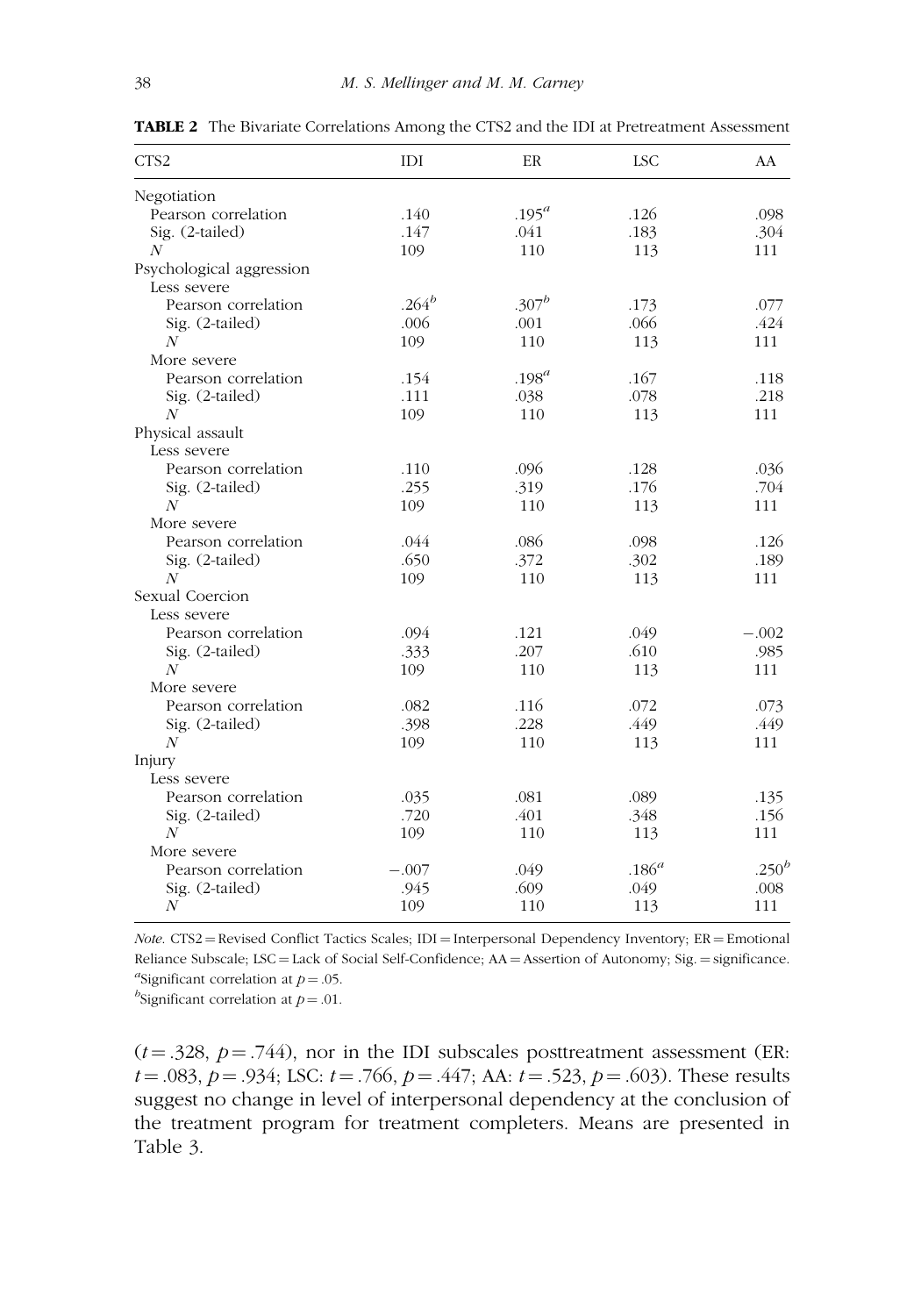| CTS2                                | IDI        | ER         | <b>LSC</b> | AA       |
|-------------------------------------|------------|------------|------------|----------|
| Negotiation                         |            |            |            |          |
| Pearson correlation                 | .140       | $.195^{a}$ | .126       | .098     |
| Sig. (2-tailed)                     | .147       | .041       | .183       | .304     |
| N                                   | 109        | 110        | 113        | 111      |
| Psychological aggression            |            |            |            |          |
| Less severe                         |            |            |            |          |
| Pearson correlation                 | $.264^{b}$ | $.307^b$   | .173       | .077     |
| Sig. (2-tailed)                     | .006       | .001       | .066       | .424     |
| N                                   | 109        | 110        | 113        | 111      |
| More severe<br>Pearson correlation  | .154       |            | .167       | .118     |
|                                     | .111       | $.198^{a}$ | .078       | .218     |
| Sig. (2-tailed)<br>$\boldsymbol{N}$ | 109        | .038       | 113        | 111      |
|                                     |            | 110        |            |          |
| Physical assault<br>Less severe     |            |            |            |          |
| Pearson correlation                 | .110       | .096       | .128       | .036     |
| Sig. (2-tailed)                     | .255       | .319       | .176       | .704     |
| $\overline{N}$                      | 109        | 110        | 113        | 111      |
| More severe                         |            |            |            |          |
| Pearson correlation                 | .044       | .086       | .098       | .126     |
| Sig. (2-tailed)                     | .650       | .372       | .302       | .189     |
| $\boldsymbol{N}$                    | 109        | 110        | 113        | 111      |
| Sexual Coercion                     |            |            |            |          |
| Less severe                         |            |            |            |          |
| Pearson correlation                 | .094       | .121       | .049       | $-.002$  |
| Sig. (2-tailed)                     | .333       | .207       | .610       | .985     |
| N                                   | 109        | 110        | 113        | 111      |
| More severe                         |            |            |            |          |
| Pearson correlation                 | .082       | .116       | .072       | .073     |
| Sig. (2-tailed)                     | .398       | .228       | .449       | .449     |
| $\overline{N}$                      | 109        | 110        | 113        | 111      |
| Injury                              |            |            |            |          |
| Less severe                         |            |            |            |          |
| Pearson correlation                 | .035       | .081       | .089       | .135     |
| Sig. (2-tailed)                     | .720       | .401       | .348       | .156     |
| $\overline{N}$                      | 109        | 110        | 113        | 111      |
| More severe                         |            |            |            |          |
| Pearson correlation                 | $-.007$    | .049       | $.186^{a}$ | $.250^b$ |
| Sig. (2-tailed)                     | .945       | .609       | .049       | .008     |
| N                                   | 109        | 110        | 113        | 111      |

TABLE 2 The Bivariate Correlations Among the CTS2 and the IDI at Pretreatment Assessment

 $Note. CTS2 = Revised Conflict Tactics Scales; IDI = Interpersonal Department, Invertory; ER = Emotional$ Reliance Subscale;  $LSC = Lack$  of Social Self-Confidence;  $AA =$  Assertion of Autonomy; Sig.  $=$  significance. <sup>a</sup>Significant correlation at  $p = .05$ .

<sup>b</sup>Significant correlation at  $p = .01$ .

 $(t = .328, p = .744)$ , nor in the IDI subscales posttreatment assessment (ER:  $t = .083$ ,  $p = .934$ ; LSC:  $t = .766$ ,  $p = .447$ ; AA:  $t = .523$ ,  $p = .603$ ). These results suggest no change in level of interpersonal dependency at the conclusion of the treatment program for treatment completers. Means are presented in Table 3.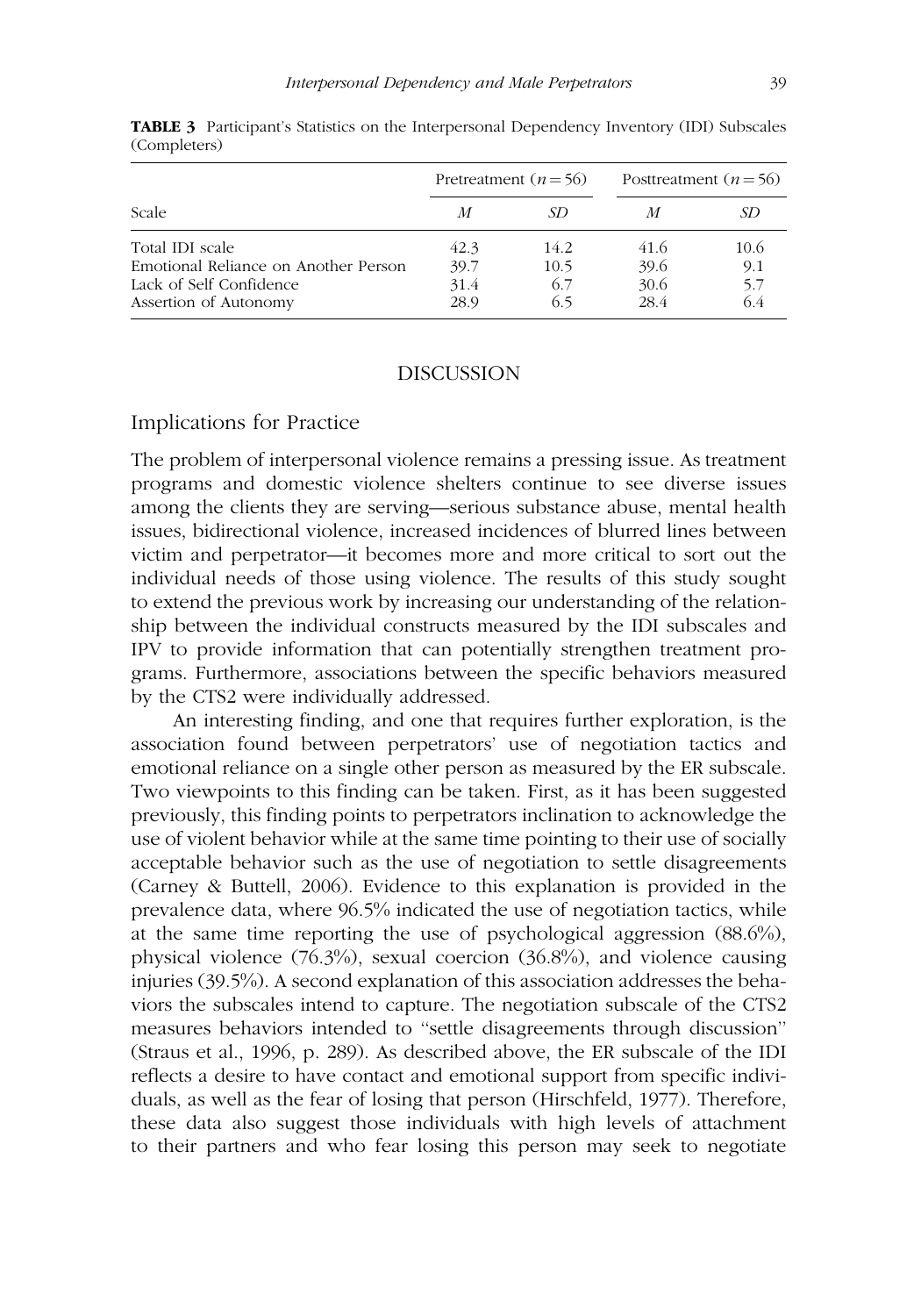|                                      | Pretreatment $(n=56)$ |      | Posttreatment $(n=56)$ |      |
|--------------------------------------|-----------------------|------|------------------------|------|
| Scale                                | М                     |      |                        |      |
| Total IDI scale                      | 42.3                  | 14.2 | 41.6                   | 10.6 |
| Emotional Reliance on Another Person | 39.7                  | 10.5 | 39.6                   | 9.1  |
| Lack of Self Confidence              | 31.4                  | 67   | 30.6                   | 5.7  |
| Assertion of Autonomy                | 28.9                  |      | 28.4                   |      |

TABLE 3 Participant's Statistics on the Interpersonal Dependency Inventory (IDI) Subscales (Completers)

#### DISCUSSION

#### Implications for Practice

The problem of interpersonal violence remains a pressing issue. As treatment programs and domestic violence shelters continue to see diverse issues among the clients they are serving—serious substance abuse, mental health issues, bidirectional violence, increased incidences of blurred lines between victim and perpetrator—it becomes more and more critical to sort out the individual needs of those using violence. The results of this study sought to extend the previous work by increasing our understanding of the relationship between the individual constructs measured by the IDI subscales and IPV to provide information that can potentially strengthen treatment programs. Furthermore, associations between the specific behaviors measured by the CTS2 were individually addressed.

An interesting finding, and one that requires further exploration, is the association found between perpetrators' use of negotiation tactics and emotional reliance on a single other person as measured by the ER subscale. Two viewpoints to this finding can be taken. First, as it has been suggested previously, this finding points to perpetrators inclination to acknowledge the use of violent behavior while at the same time pointing to their use of socially acceptable behavior such as the use of negotiation to settle disagreements (Carney & Buttell, 2006). Evidence to this explanation is provided in the prevalence data, where 96.5% indicated the use of negotiation tactics, while at the same time reporting the use of psychological aggression (88.6%), physical violence (76.3%), sexual coercion (36.8%), and violence causing injuries (39.5%). A second explanation of this association addresses the behaviors the subscales intend to capture. The negotiation subscale of the CTS2 measures behaviors intended to ''settle disagreements through discussion'' (Straus et al., 1996, p. 289). As described above, the ER subscale of the IDI reflects a desire to have contact and emotional support from specific individuals, as well as the fear of losing that person (Hirschfeld, 1977). Therefore, these data also suggest those individuals with high levels of attachment to their partners and who fear losing this person may seek to negotiate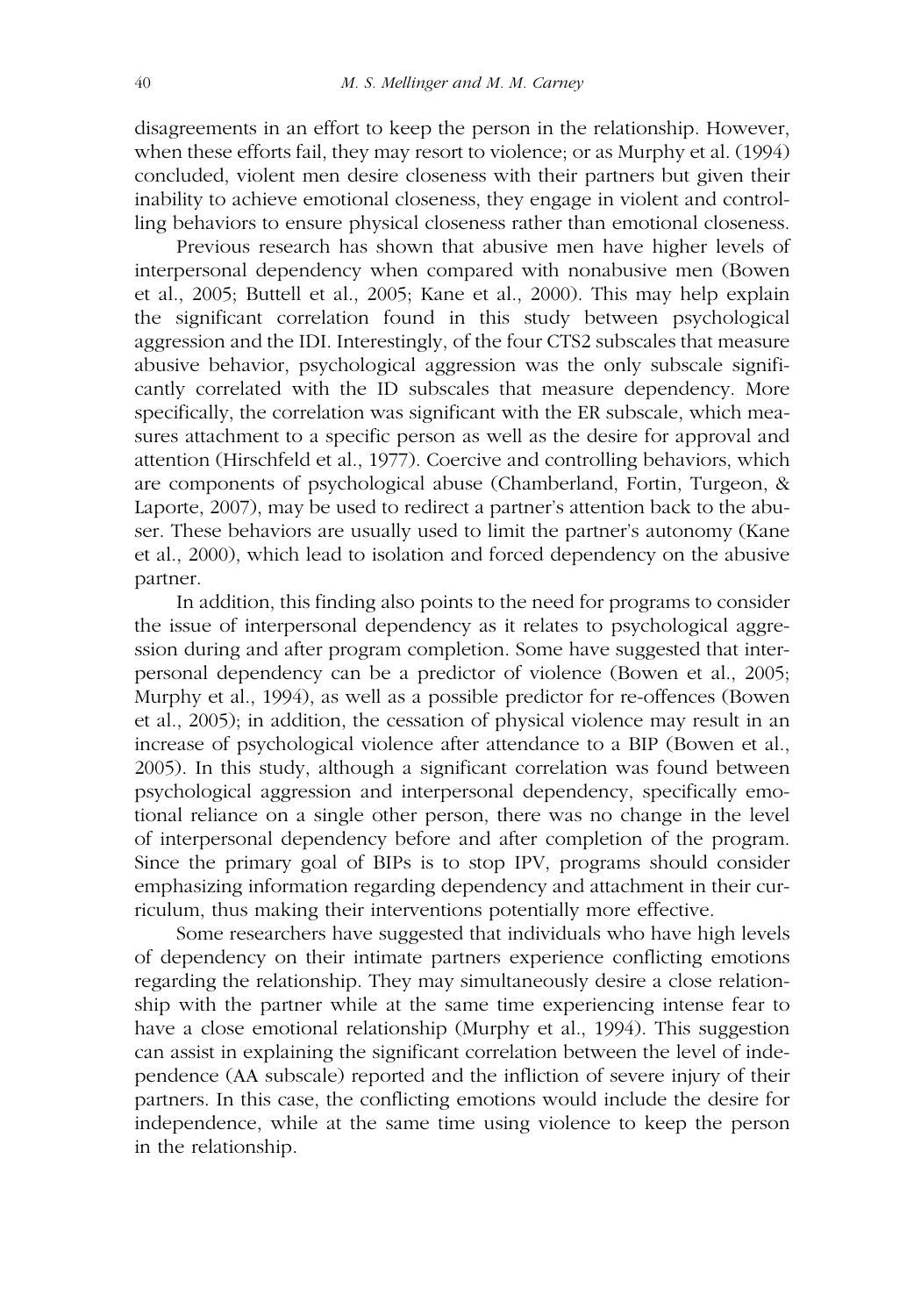disagreements in an effort to keep the person in the relationship. However, when these efforts fail, they may resort to violence; or as Murphy et al. (1994) concluded, violent men desire closeness with their partners but given their inability to achieve emotional closeness, they engage in violent and controlling behaviors to ensure physical closeness rather than emotional closeness.

Previous research has shown that abusive men have higher levels of interpersonal dependency when compared with nonabusive men (Bowen et al., 2005; Buttell et al., 2005; Kane et al., 2000). This may help explain the significant correlation found in this study between psychological aggression and the IDI. Interestingly, of the four CTS2 subscales that measure abusive behavior, psychological aggression was the only subscale significantly correlated with the ID subscales that measure dependency. More specifically, the correlation was significant with the ER subscale, which measures attachment to a specific person as well as the desire for approval and attention (Hirschfeld et al., 1977). Coercive and controlling behaviors, which are components of psychological abuse (Chamberland, Fortin, Turgeon, & Laporte, 2007), may be used to redirect a partner's attention back to the abuser. These behaviors are usually used to limit the partner's autonomy (Kane et al., 2000), which lead to isolation and forced dependency on the abusive partner.

In addition, this finding also points to the need for programs to consider the issue of interpersonal dependency as it relates to psychological aggression during and after program completion. Some have suggested that interpersonal dependency can be a predictor of violence (Bowen et al., 2005; Murphy et al., 1994), as well as a possible predictor for re-offences (Bowen et al., 2005); in addition, the cessation of physical violence may result in an increase of psychological violence after attendance to a BIP (Bowen et al., 2005). In this study, although a significant correlation was found between psychological aggression and interpersonal dependency, specifically emotional reliance on a single other person, there was no change in the level of interpersonal dependency before and after completion of the program. Since the primary goal of BIPs is to stop IPV, programs should consider emphasizing information regarding dependency and attachment in their curriculum, thus making their interventions potentially more effective.

Some researchers have suggested that individuals who have high levels of dependency on their intimate partners experience conflicting emotions regarding the relationship. They may simultaneously desire a close relationship with the partner while at the same time experiencing intense fear to have a close emotional relationship (Murphy et al., 1994). This suggestion can assist in explaining the significant correlation between the level of independence (AA subscale) reported and the infliction of severe injury of their partners. In this case, the conflicting emotions would include the desire for independence, while at the same time using violence to keep the person in the relationship.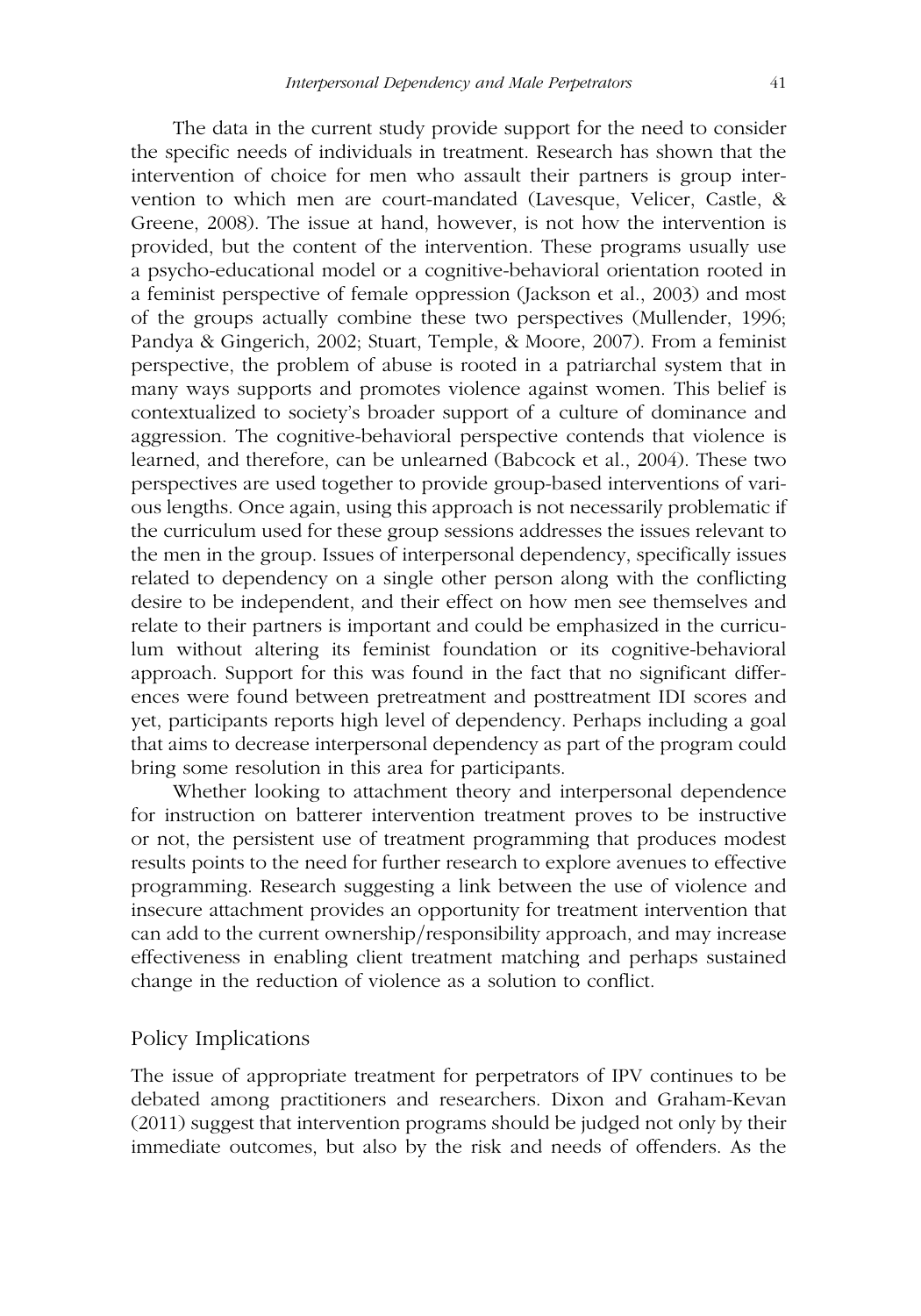The data in the current study provide support for the need to consider the specific needs of individuals in treatment. Research has shown that the intervention of choice for men who assault their partners is group intervention to which men are court-mandated (Lavesque, Velicer, Castle, & Greene, 2008). The issue at hand, however, is not how the intervention is provided, but the content of the intervention. These programs usually use a psycho-educational model or a cognitive-behavioral orientation rooted in a feminist perspective of female oppression (Jackson et al., 2003) and most of the groups actually combine these two perspectives (Mullender, 1996; Pandya & Gingerich, 2002; Stuart, Temple, & Moore, 2007). From a feminist perspective, the problem of abuse is rooted in a patriarchal system that in many ways supports and promotes violence against women. This belief is contextualized to society's broader support of a culture of dominance and aggression. The cognitive-behavioral perspective contends that violence is learned, and therefore, can be unlearned (Babcock et al., 2004). These two perspectives are used together to provide group-based interventions of various lengths. Once again, using this approach is not necessarily problematic if the curriculum used for these group sessions addresses the issues relevant to the men in the group. Issues of interpersonal dependency, specifically issues related to dependency on a single other person along with the conflicting desire to be independent, and their effect on how men see themselves and relate to their partners is important and could be emphasized in the curriculum without altering its feminist foundation or its cognitive-behavioral approach. Support for this was found in the fact that no significant differences were found between pretreatment and posttreatment IDI scores and yet, participants reports high level of dependency. Perhaps including a goal that aims to decrease interpersonal dependency as part of the program could bring some resolution in this area for participants.

Whether looking to attachment theory and interpersonal dependence for instruction on batterer intervention treatment proves to be instructive or not, the persistent use of treatment programming that produces modest results points to the need for further research to explore avenues to effective programming. Research suggesting a link between the use of violence and insecure attachment provides an opportunity for treatment intervention that can add to the current ownership/responsibility approach, and may increase effectiveness in enabling client treatment matching and perhaps sustained change in the reduction of violence as a solution to conflict.

### Policy Implications

The issue of appropriate treatment for perpetrators of IPV continues to be debated among practitioners and researchers. Dixon and Graham-Kevan (2011) suggest that intervention programs should be judged not only by their immediate outcomes, but also by the risk and needs of offenders. As the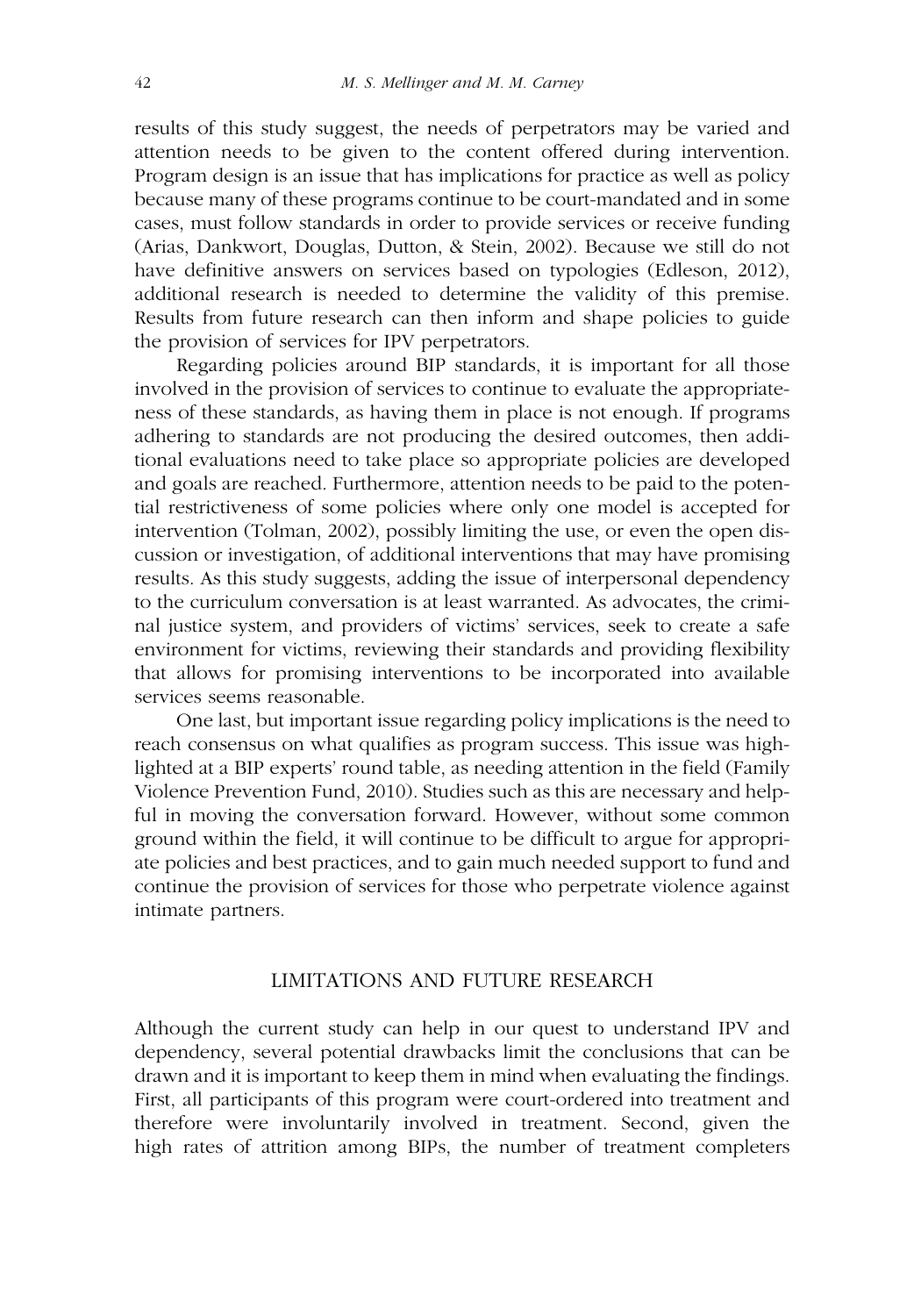results of this study suggest, the needs of perpetrators may be varied and attention needs to be given to the content offered during intervention. Program design is an issue that has implications for practice as well as policy because many of these programs continue to be court-mandated and in some cases, must follow standards in order to provide services or receive funding (Arias, Dankwort, Douglas, Dutton, & Stein, 2002). Because we still do not have definitive answers on services based on typologies (Edleson, 2012), additional research is needed to determine the validity of this premise. Results from future research can then inform and shape policies to guide the provision of services for IPV perpetrators.

Regarding policies around BIP standards, it is important for all those involved in the provision of services to continue to evaluate the appropriateness of these standards, as having them in place is not enough. If programs adhering to standards are not producing the desired outcomes, then additional evaluations need to take place so appropriate policies are developed and goals are reached. Furthermore, attention needs to be paid to the potential restrictiveness of some policies where only one model is accepted for intervention (Tolman, 2002), possibly limiting the use, or even the open discussion or investigation, of additional interventions that may have promising results. As this study suggests, adding the issue of interpersonal dependency to the curriculum conversation is at least warranted. As advocates, the criminal justice system, and providers of victims' services, seek to create a safe environment for victims, reviewing their standards and providing flexibility that allows for promising interventions to be incorporated into available services seems reasonable.

One last, but important issue regarding policy implications is the need to reach consensus on what qualifies as program success. This issue was highlighted at a BIP experts' round table, as needing attention in the field (Family Violence Prevention Fund, 2010). Studies such as this are necessary and helpful in moving the conversation forward. However, without some common ground within the field, it will continue to be difficult to argue for appropriate policies and best practices, and to gain much needed support to fund and continue the provision of services for those who perpetrate violence against intimate partners.

#### LIMITATIONS AND FUTURE RESEARCH

Although the current study can help in our quest to understand IPV and dependency, several potential drawbacks limit the conclusions that can be drawn and it is important to keep them in mind when evaluating the findings. First, all participants of this program were court-ordered into treatment and therefore were involuntarily involved in treatment. Second, given the high rates of attrition among BIPs, the number of treatment completers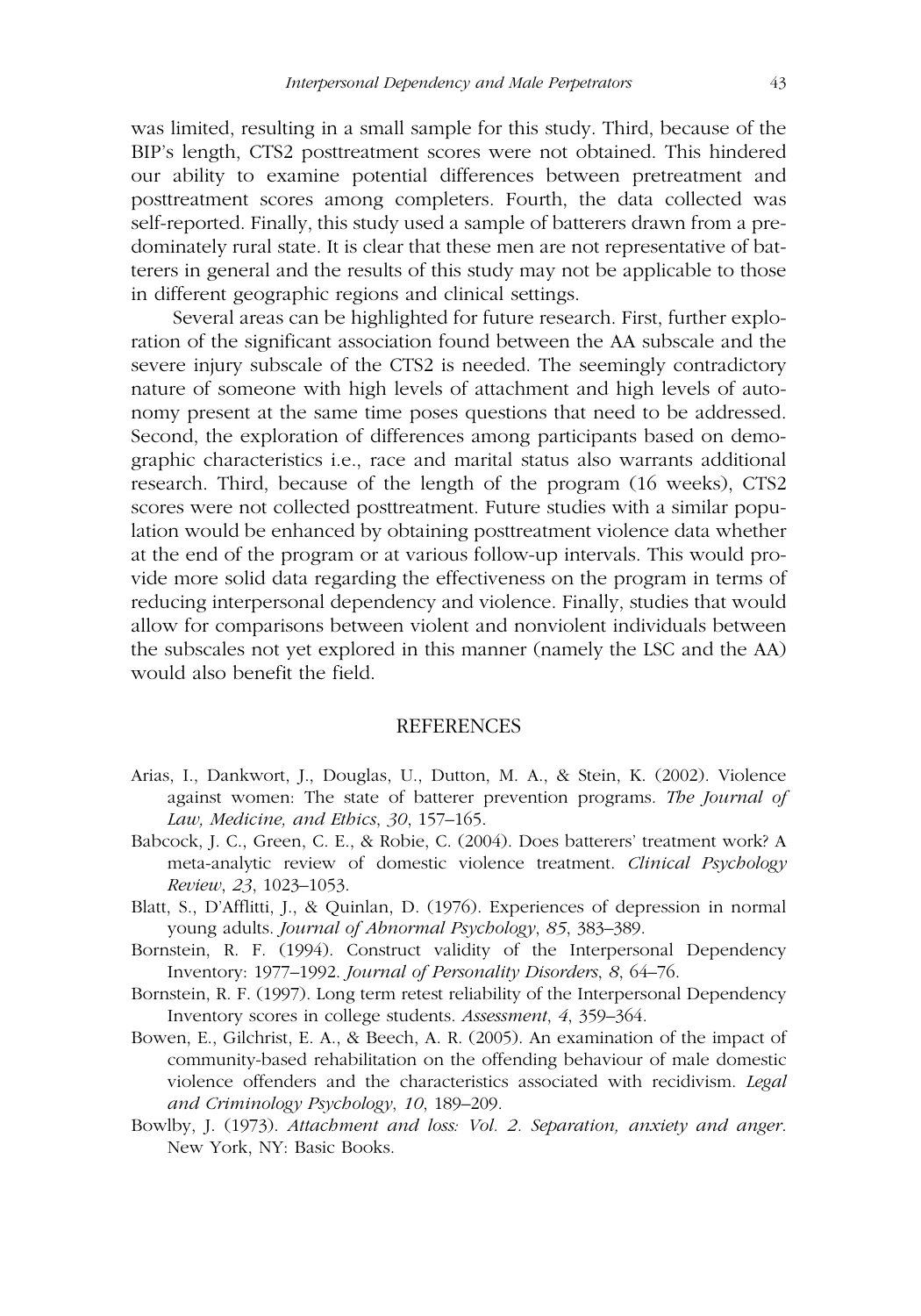was limited, resulting in a small sample for this study. Third, because of the BIP's length, CTS2 posttreatment scores were not obtained. This hindered our ability to examine potential differences between pretreatment and posttreatment scores among completers. Fourth, the data collected was self-reported. Finally, this study used a sample of batterers drawn from a predominately rural state. It is clear that these men are not representative of batterers in general and the results of this study may not be applicable to those in different geographic regions and clinical settings.

Several areas can be highlighted for future research. First, further exploration of the significant association found between the AA subscale and the severe injury subscale of the CTS2 is needed. The seemingly contradictory nature of someone with high levels of attachment and high levels of autonomy present at the same time poses questions that need to be addressed. Second, the exploration of differences among participants based on demographic characteristics i.e., race and marital status also warrants additional research. Third, because of the length of the program (16 weeks), CTS2 scores were not collected posttreatment. Future studies with a similar population would be enhanced by obtaining posttreatment violence data whether at the end of the program or at various follow-up intervals. This would provide more solid data regarding the effectiveness on the program in terms of reducing interpersonal dependency and violence. Finally, studies that would allow for comparisons between violent and nonviolent individuals between the subscales not yet explored in this manner (namely the LSC and the AA) would also benefit the field.

#### REFERENCES

- Arias, I., Dankwort, J., Douglas, U., Dutton, M. A., & Stein, K. (2002). Violence against women: The state of batterer prevention programs. The Journal of Law, Medicine, and Ethics, 30, 157–165.
- Babcock, J. C., Green, C. E., & Robie, C. (2004). Does batterers' treatment work? A meta-analytic review of domestic violence treatment. Clinical Psychology Review, 23, 1023–1053.
- Blatt, S., D'Afflitti, J., & Quinlan, D. (1976). Experiences of depression in normal young adults. Journal of Abnormal Psychology, 85, 383–389.
- Bornstein, R. F. (1994). Construct validity of the Interpersonal Dependency Inventory: 1977–1992. Journal of Personality Disorders, 8, 64–76.
- Bornstein, R. F. (1997). Long term retest reliability of the Interpersonal Dependency Inventory scores in college students. Assessment, 4, 359–364.
- Bowen, E., Gilchrist, E. A., & Beech, A. R. (2005). An examination of the impact of community-based rehabilitation on the offending behaviour of male domestic violence offenders and the characteristics associated with recidivism. Legal and Criminology Psychology, 10, 189–209.
- Bowlby, J. (1973). Attachment and loss: Vol. 2. Separation, anxiety and anger. New York, NY: Basic Books.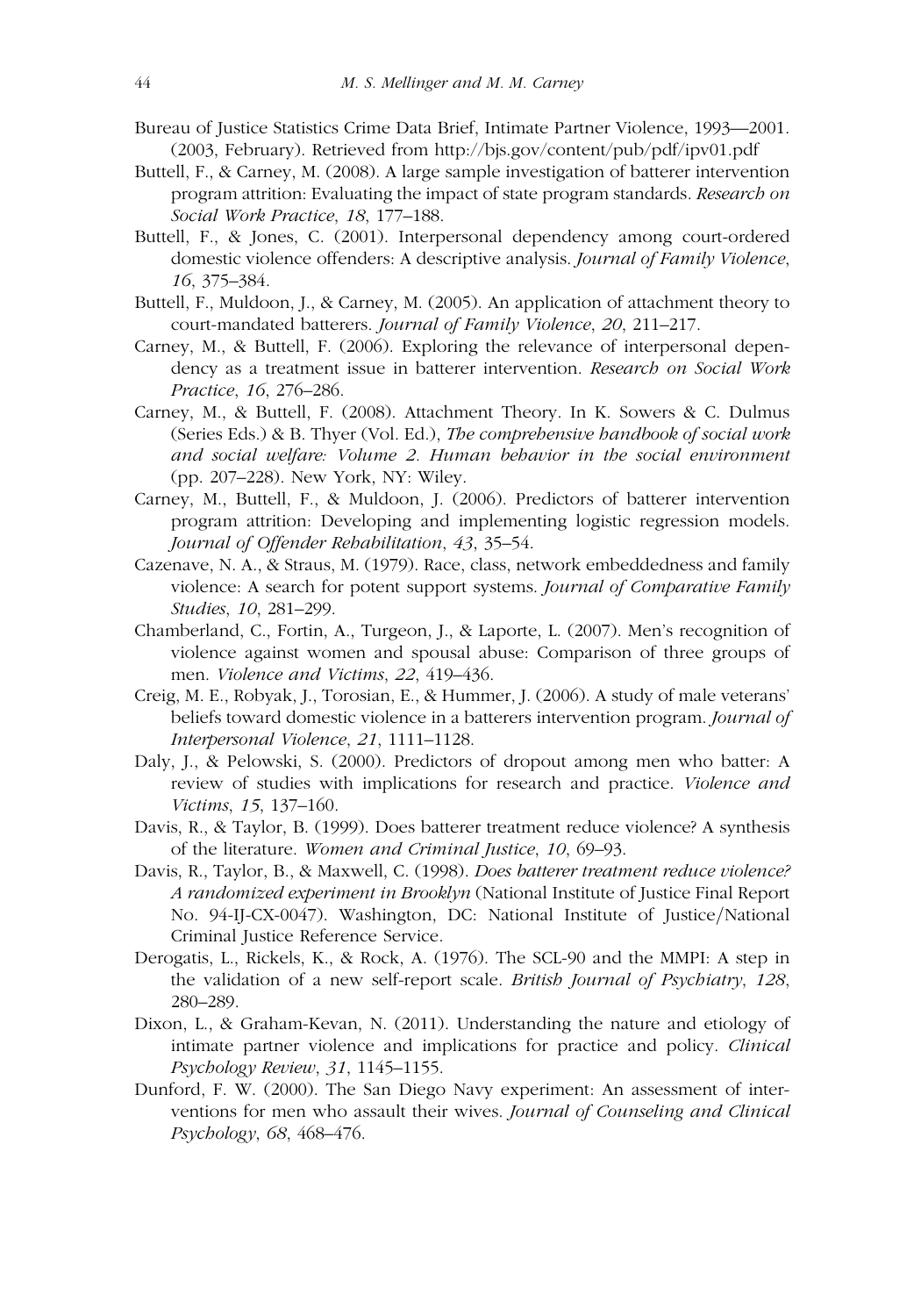- Bureau of Justice Statistics Crime Data Brief, Intimate Partner Violence, 1993––2001. (2003, February). Retrieved from http://bjs.gov/content/pub/pdf/ipv01.pdf
- Buttell, F., & Carney, M. (2008). A large sample investigation of batterer intervention program attrition: Evaluating the impact of state program standards. Research on Social Work Practice, 18, 177–188.
- Buttell, F., & Jones, C. (2001). Interpersonal dependency among court-ordered domestic violence offenders: A descriptive analysis. Journal of Family Violence, 16, 375–384.
- Buttell, F., Muldoon, J., & Carney, M. (2005). An application of attachment theory to court-mandated batterers. Journal of Family Violence, 20, 211–217.
- Carney, M., & Buttell, F. (2006). Exploring the relevance of interpersonal dependency as a treatment issue in batterer intervention. Research on Social Work Practice, 16, 276–286.
- Carney, M., & Buttell, F. (2008). Attachment Theory. In K. Sowers & C. Dulmus (Series Eds.) & B. Thyer (Vol. Ed.), The comprehensive handbook of social work and social welfare: Volume 2. Human behavior in the social environment (pp. 207–228). New York, NY: Wiley.
- Carney, M., Buttell, F., & Muldoon, J. (2006). Predictors of batterer intervention program attrition: Developing and implementing logistic regression models. Journal of Offender Rehabilitation, 43, 35–54.
- Cazenave, N. A., & Straus, M. (1979). Race, class, network embeddedness and family violence: A search for potent support systems. Journal of Comparative Family Studies, 10, 281–299.
- Chamberland, C., Fortin, A., Turgeon, J., & Laporte, L. (2007). Men's recognition of violence against women and spousal abuse: Comparison of three groups of men. Violence and Victims, 22, 419-436.
- Creig, M. E., Robyak, J., Torosian, E., & Hummer, J. (2006). A study of male veterans' beliefs toward domestic violence in a batterers intervention program. Journal of Interpersonal Violence, 21, 1111–1128.
- Daly, J., & Pelowski, S. (2000). Predictors of dropout among men who batter: A review of studies with implications for research and practice. Violence and Victims, 15, 137–160.
- Davis, R., & Taylor, B. (1999). Does batterer treatment reduce violence? A synthesis of the literature. Women and Criminal Justice, 10, 69–93.
- Davis, R., Taylor, B., & Maxwell, C. (1998). Does batterer treatment reduce violence? A randomized experiment in Brooklyn (National Institute of Justice Final Report No. 94-IJ-CX-0047). Washington, DC: National Institute of Justice/National Criminal Justice Reference Service.
- Derogatis, L., Rickels, K., & Rock, A. (1976). The SCL-90 and the MMPI: A step in the validation of a new self-report scale. British Journal of Psychiatry, 128, 280–289.
- Dixon, L., & Graham-Kevan, N. (2011). Understanding the nature and etiology of intimate partner violence and implications for practice and policy. Clinical Psychology Review, 31, 1145–1155.
- Dunford, F. W. (2000). The San Diego Navy experiment: An assessment of interventions for men who assault their wives. Journal of Counseling and Clinical Psychology, 68, 468–476.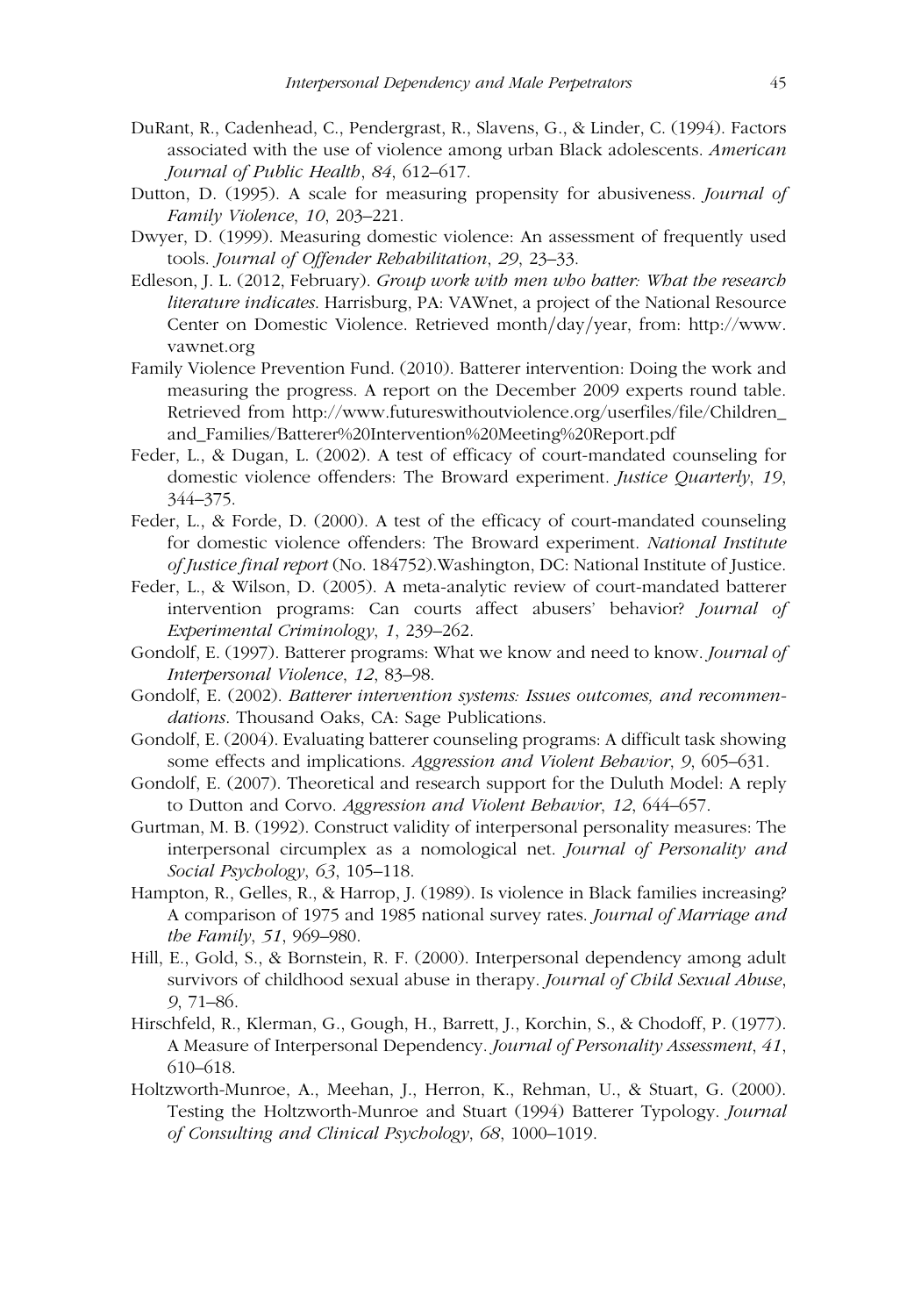- DuRant, R., Cadenhead, C., Pendergrast, R., Slavens, G., & Linder, C. (1994). Factors associated with the use of violence among urban Black adolescents. American Journal of Public Health, 84, 612–617.
- Dutton, D. (1995). A scale for measuring propensity for abusiveness. Journal of Family Violence, 10, 203–221.
- Dwyer, D. (1999). Measuring domestic violence: An assessment of frequently used tools. Journal of Offender Rehabilitation, 29, 23–33.
- Edleson, J. L. (2012, February). Group work with men who batter: What the research literature indicates. Harrisburg, PA: VAWnet, a project of the National Resource Center on Domestic Violence. Retrieved month/day/year, from: http://www. vawnet.org
- Family Violence Prevention Fund. (2010). Batterer intervention: Doing the work and measuring the progress. A report on the December 2009 experts round table. Retrieved from http://www.futureswithoutviolence.org/userfiles/file/Children\_ and\_Families/Batterer%20Intervention%20Meeting%20Report.pdf
- Feder, L., & Dugan, L. (2002). A test of efficacy of court-mandated counseling for domestic violence offenders: The Broward experiment. Justice Quarterly, 19, 344–375.
- Feder, L., & Forde, D. (2000). A test of the efficacy of court-mandated counseling for domestic violence offenders: The Broward experiment. National Institute of Justice final report (No. 184752).Washington, DC: National Institute of Justice.
- Feder, L., & Wilson, D. (2005). A meta-analytic review of court-mandated batterer intervention programs: Can courts affect abusers' behavior? Journal of Experimental Criminology, 1, 239–262.
- Gondolf, E. (1997). Batterer programs: What we know and need to know. Journal of Interpersonal Violence, 12, 83–98.
- Gondolf, E. (2002). Batterer intervention systems: Issues outcomes, and recommendations. Thousand Oaks, CA: Sage Publications.
- Gondolf, E. (2004). Evaluating batterer counseling programs: A difficult task showing some effects and implications. Aggression and Violent Behavior, 9, 605–631.
- Gondolf, E. (2007). Theoretical and research support for the Duluth Model: A reply to Dutton and Corvo. Aggression and Violent Behavior, 12, 644–657.
- Gurtman, M. B. (1992). Construct validity of interpersonal personality measures: The interpersonal circumplex as a nomological net. Journal of Personality and Social Psychology, 63, 105–118.
- Hampton, R., Gelles, R., & Harrop, J. (1989). Is violence in Black families increasing? A comparison of 1975 and 1985 national survey rates. Journal of Marriage and the Family, 51, 969–980.
- Hill, E., Gold, S., & Bornstein, R. F. (2000). Interpersonal dependency among adult survivors of childhood sexual abuse in therapy. Journal of Child Sexual Abuse, 9, 71–86.
- Hirschfeld, R., Klerman, G., Gough, H., Barrett, J., Korchin, S., & Chodoff, P. (1977). A Measure of Interpersonal Dependency. Journal of Personality Assessment, 41, 610–618.
- Holtzworth-Munroe, A., Meehan, J., Herron, K., Rehman, U., & Stuart, G. (2000). Testing the Holtzworth-Munroe and Stuart (1994) Batterer Typology. Journal of Consulting and Clinical Psychology, 68, 1000–1019.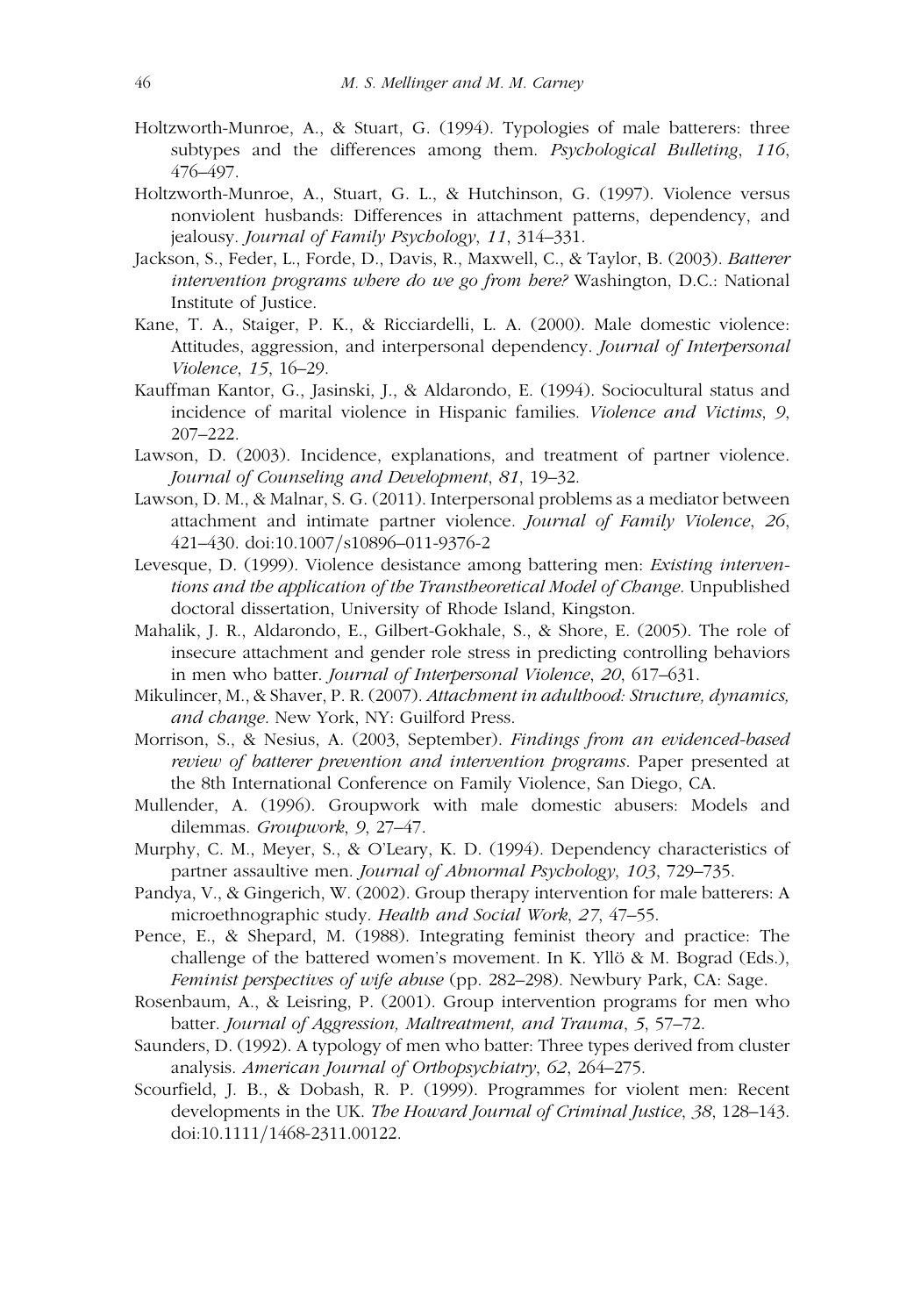- Holtzworth-Munroe, A., & Stuart, G. (1994). Typologies of male batterers: three subtypes and the differences among them. Psychological Bulleting, 116, 476–497.
- Holtzworth-Munroe, A., Stuart, G. L., & Hutchinson, G. (1997). Violence versus nonviolent husbands: Differences in attachment patterns, dependency, and jealousy. Journal of Family Psychology, 11, 314–331.
- Jackson, S., Feder, L., Forde, D., Davis, R., Maxwell, C., & Taylor, B. (2003). Batterer intervention programs where do we go from here? Washington, D.C.: National Institute of Justice.
- Kane, T. A., Staiger, P. K., & Ricciardelli, L. A. (2000). Male domestic violence: Attitudes, aggression, and interpersonal dependency. Journal of Interpersonal Violence, 15, 16–29.
- Kauffman Kantor, G., Jasinski, J., & Aldarondo, E. (1994). Sociocultural status and incidence of marital violence in Hispanic families. Violence and Victims, 9, 207–222.
- Lawson, D. (2003). Incidence, explanations, and treatment of partner violence. Journal of Counseling and Development, 81, 19–32.
- Lawson, D. M., & Malnar, S. G. (2011). Interpersonal problems as a mediator between attachment and intimate partner violence. Journal of Family Violence, 26, 421-430. doi:10.1007/s10896-011-9376-2
- Levesque, D. (1999). Violence desistance among battering men: Existing interventions and the application of the Transtheoretical Model of Change. Unpublished doctoral dissertation, University of Rhode Island, Kingston.
- Mahalik, J. R., Aldarondo, E., Gilbert-Gokhale, S., & Shore, E. (2005). The role of insecure attachment and gender role stress in predicting controlling behaviors in men who batter. Journal of Interpersonal Violence, 20, 617–631.
- Mikulincer, M., & Shaver, P. R. (2007). Attachment in adulthood: Structure, dynamics, and change. New York, NY: Guilford Press.
- Morrison, S., & Nesius, A. (2003, September). Findings from an evidenced-based review of batterer prevention and intervention programs. Paper presented at the 8th International Conference on Family Violence, San Diego, CA.
- Mullender, A. (1996). Groupwork with male domestic abusers: Models and dilemmas. Groupwork, 9, 27–47.
- Murphy, C. M., Meyer, S., & O'Leary, K. D. (1994). Dependency characteristics of partner assaultive men. Journal of Abnormal Psychology, 103, 729–735.
- Pandya, V., & Gingerich, W. (2002). Group therapy intervention for male batterers: A microethnographic study. Health and Social Work, 27, 47–55.
- Pence, E., & Shepard, M. (1988). Integrating feminist theory and practice: The challenge of the battered women's movement. In K. Yllö & M. Bograd (Eds.), Feminist perspectives of wife abuse (pp. 282–298). Newbury Park, CA: Sage.
- Rosenbaum, A., & Leisring, P. (2001). Group intervention programs for men who batter. Journal of Aggression, Maltreatment, and Trauma, 5, 57–72.
- Saunders, D. (1992). A typology of men who batter: Three types derived from cluster analysis. American Journal of Orthopsychiatry, 62, 264–275.
- Scourfield, J. B., & Dobash, R. P. (1999). Programmes for violent men: Recent developments in the UK. The Howard Journal of Criminal Justice, 38, 128–143. doi:10.1111/1468-2311.00122.